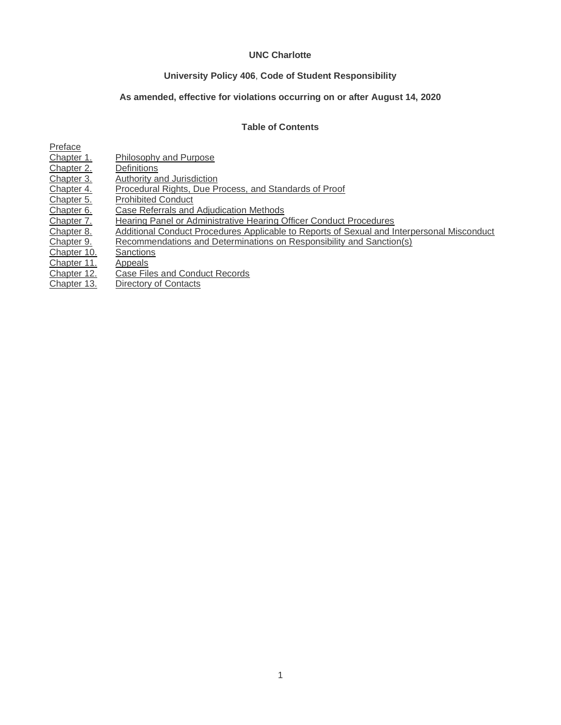## **UNC Charlotte**

# **University Policy 406**, **Code of Student Responsibility**

# **As amended, effective for violations occurring on or after August 14, 2020**

# **Table of Contents**

<span id="page-0-0"></span>

| Preface     |                                                                                            |
|-------------|--------------------------------------------------------------------------------------------|
| Chapter 1.  | <b>Philosophy and Purpose</b>                                                              |
| Chapter 2.  | Definitions                                                                                |
| Chapter 3.  | Authority and Jurisdiction                                                                 |
| Chapter 4.  | Procedural Rights, Due Process, and Standards of Proof                                     |
| Chapter 5.  | <b>Prohibited Conduct</b>                                                                  |
| Chapter 6.  | Case Referrals and Adiudication Methods                                                    |
| Chapter 7.  | Hearing Panel or Administrative Hearing Officer Conduct Procedures                         |
| Chapter 8.  | Additional Conduct Procedures Applicable to Reports of Sexual and Interpersonal Misconduct |
| Chapter 9.  | Recommendations and Determinations on Responsibility and Sanction(s)                       |
| Chapter 10. | Sanctions                                                                                  |
| Chapter 11. | Appeals                                                                                    |
| Chapter 12. | Case Files and Conduct Records                                                             |
| Chapter 13. | Directory of Contacts                                                                      |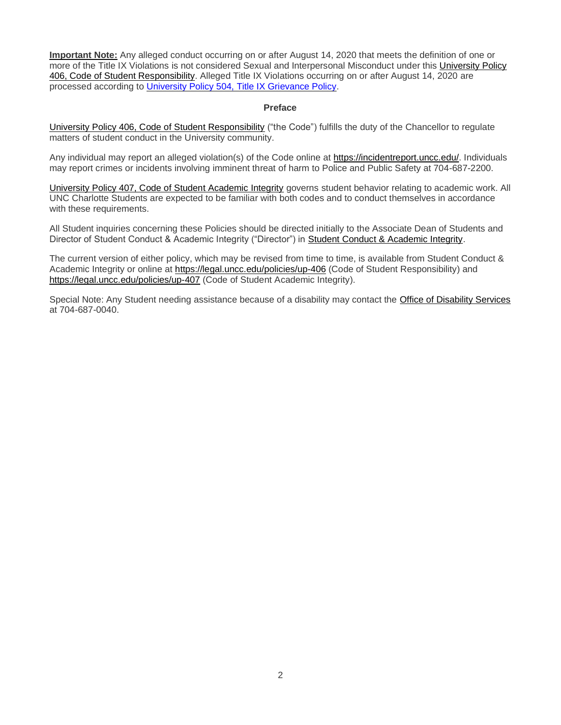**Important Note:** Any alleged conduct occurring on or after August 14, 2020 that meets the definition of one or more of the Title IX Violations is not considered Sexual and Interpersonal Misconduct under this [University Policy](https://legal.uncc.edu/policies/up-406)  [406, Code of Student Responsibility.](https://legal.uncc.edu/policies/up-406) Alleged Title IX Violations occurring on or after August 14, 2020 are processed according to [University Policy 504, Title IX Grievance Policy.](https://legal.uncc.edu/policies/up-504)

#### **Preface**

[University Policy 406, Code of Student Responsibility](https://legal.uncc.edu/policies/up-406) ("the Code") fulfills the duty of the Chancellor to regulate matters of student conduct in the University community.

Any individual may report an alleged violation(s) of the Code online at [https://incidentreport.uncc.edu/.](https://incidentreport.uncc.edu/) Individuals may report crimes or incidents involving imminent threat of harm to Police and Public Safety at 704-687-2200.

[University Policy 407, Code of Student Academic Integrity](https://legal.uncc.edu/policies/up-407) governs student behavior relating to academic work. All UNC Charlotte Students are expected to be familiar with both codes and to conduct themselves in accordance with these requirements.

All Student inquiries concerning these Policies should be directed initially to the Associate Dean of Students and Director of Student Conduct & Academic Integrity ("Director") in [Student Conduct & Academic Integrity.](https://scai.uncc.edu/)

The current version of either policy, which may be revised from time to time, is available from Student Conduct & Academic Integrity or online at<https://legal.uncc.edu/policies/up-406> (Code of Student Responsibility) and <https://legal.uncc.edu/policies/up-407> (Code of Student Academic Integrity).

<span id="page-1-0"></span>Special Note: Any Student needing assistance because of a disability may contact the [Office of Disability Services](https://ds.uncc.edu/) at 704-687-0040.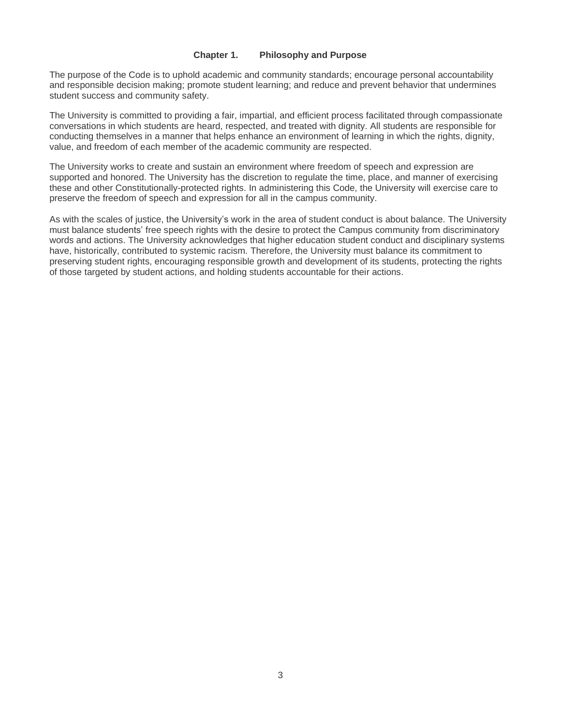#### **Chapter 1. Philosophy and Purpose**

The purpose of the Code is to uphold academic and community standards; encourage personal accountability and responsible decision making; promote student learning; and reduce and prevent behavior that undermines student success and community safety.

The University is committed to providing a fair, impartial, and efficient process facilitated through compassionate conversations in which students are heard, respected, and treated with dignity. All students are responsible for conducting themselves in a manner that helps enhance an environment of learning in which the rights, dignity, value, and freedom of each member of the academic community are respected.

The University works to create and sustain an environment where freedom of speech and expression are supported and honored. The University has the discretion to regulate the time, place, and manner of exercising these and other Constitutionally-protected rights. In administering this Code, the University will exercise care to preserve the freedom of speech and expression for all in the campus community.

<span id="page-2-0"></span>As with the scales of justice, the University's work in the area of student conduct is about balance. The University must balance students' free speech rights with the desire to protect the Campus community from discriminatory words and actions. The University acknowledges that higher education student conduct and disciplinary systems have, historically, contributed to systemic racism. Therefore, the University must balance its commitment to preserving student rights, encouraging responsible growth and development of its students, protecting the rights of those targeted by student actions, and holding students accountable for their actions.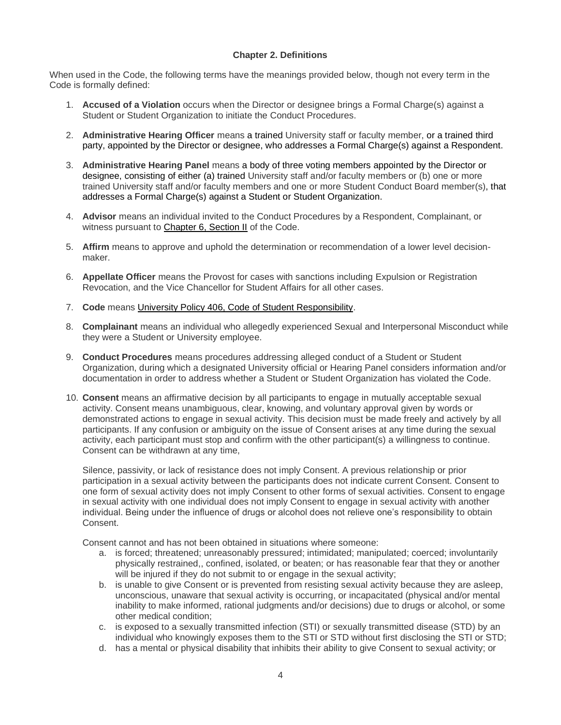## **Chapter 2. Definitions**

When used in the Code, the following terms have the meanings provided below, though not every term in the Code is formally defined:

- 1. **Accused of a Violation** occurs when the Director or designee brings a Formal Charge(s) against a Student or Student Organization to initiate the Conduct Procedures.
- 2. **Administrative Hearing Officer** means a trained University staff or faculty member, or a trained third party, appointed by the Director or designee, who addresses a Formal Charge(s) against a Respondent.
- 3. **Administrative Hearing Panel** means a body of three voting members appointed by the Director or designee, consisting of either (a) trained University staff and/or faculty members or (b) one or more trained University staff and/or faculty members and one or more Student Conduct Board member(s), that addresses a Formal Charge(s) against a Student or Student Organization.
- 4. **Advisor** means an individual invited to the Conduct Procedures by a Respondent, Complainant, or witness pursuant to [Chapter 6, Section II](#page-17-0) of the Code.
- 5. **Affirm** means to approve and uphold the determination or recommendation of a lower level decisionmaker.
- 6. **Appellate Officer** means the Provost for cases with sanctions including Expulsion or Registration Revocation, and the Vice Chancellor for Student Affairs for all other cases.
- 7. **Code** means [University Policy 406, Code of Student Responsibility.](https://legal.uncc.edu/policies/up-406)
- 8. **Complainant** means an individual who allegedly experienced Sexual and Interpersonal Misconduct while they were a Student or University employee.
- 9. **Conduct Procedures** means procedures addressing alleged conduct of a Student or Student Organization, during which a designated University official or Hearing Panel considers information and/or documentation in order to address whether a Student or Student Organization has violated the Code.
- 10. **Consent** means an affirmative decision by all participants to engage in mutually acceptable sexual activity. Consent means unambiguous, clear, knowing, and voluntary approval given by words or demonstrated actions to engage in sexual activity. This decision must be made freely and actively by all participants. If any confusion or ambiguity on the issue of Consent arises at any time during the sexual activity, each participant must stop and confirm with the other participant(s) a willingness to continue. Consent can be withdrawn at any time,

Silence, passivity, or lack of resistance does not imply Consent. A previous relationship or prior participation in a sexual activity between the participants does not indicate current Consent. Consent to one form of sexual activity does not imply Consent to other forms of sexual activities. Consent to engage in sexual activity with one individual does not imply Consent to engage in sexual activity with another individual. Being under the influence of drugs or alcohol does not relieve one's responsibility to obtain Consent.

Consent cannot and has not been obtained in situations where someone:

- a. is forced; threatened; unreasonably pressured; intimidated; manipulated; coerced; involuntarily physically restrained,, confined, isolated, or beaten; or has reasonable fear that they or another will be injured if they do not submit to or engage in the sexual activity;
- b. is unable to give Consent or is prevented from resisting sexual activity because they are asleep, unconscious, unaware that sexual activity is occurring, or incapacitated (physical and/or mental inability to make informed, rational judgments and/or decisions) due to drugs or alcohol, or some other medical condition;
- c. is exposed to a sexually transmitted infection (STI) or sexually transmitted disease (STD) by an individual who knowingly exposes them to the STI or STD without first disclosing the STI or STD;
- d. has a mental or physical disability that inhibits their ability to give Consent to sexual activity; or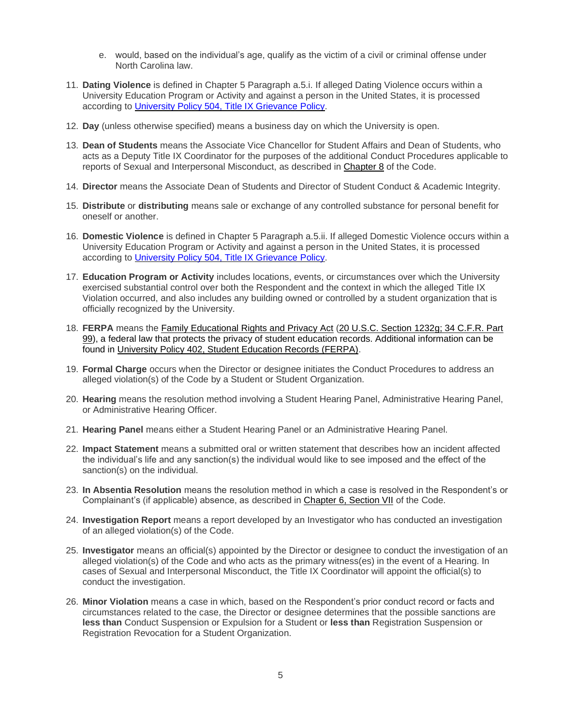- e. would, based on the individual's age, qualify as the victim of a civil or criminal offense under North Carolina law.
- 11. **Dating Violence** is defined in Chapter 5 Paragraph a.5.i. If alleged Dating Violence occurs within a University Education Program or Activity and against a person in the United States, it is processed according to [University Policy 504, Title IX Grievance](http://legal.uncc.edu/policies/up-504) Policy.
- 12. **Day** (unless otherwise specified) means a business day on which the University is open.
- 13. **Dean of Students** means the Associate Vice Chancellor for Student Affairs and Dean of Students, who acts as a Deputy Title IX Coordinator for the purposes of the additional Conduct Procedures applicable to reports of Sexual and Interpersonal Misconduct, as described in [Chapter 8](#page-24-0) of the Code.
- 14. **Director** means the Associate Dean of Students and Director of Student Conduct & Academic Integrity.
- 15. **Distribute** or **distributing** means sale or exchange of any controlled substance for personal benefit for oneself or another.
- 16. **Domestic Violence** is defined in Chapter 5 Paragraph a.5.ii. If alleged Domestic Violence occurs within a University Education Program or Activity and against a person in the United States, it is processed according to [University Policy 504, Title IX Grievance](https://legal.uncc.edu/policies/up-504) Policy.
- 17. **Education Program or Activity** includes locations, events, or circumstances over which the University exercised substantial control over both the Respondent and the context in which the alleged Title IX Violation occurred, and also includes any building owned or controlled by a student organization that is officially recognized by the University.
- 18. **FERPA** means the [Family Educational Rights and Privacy Act](https://legal.uncc.edu/legal-topics/ferpa) [\(20 U.S.C. Section 1232g; 34 C.F.R. Part](http://www.ecfr.gov/cgi-bin/text-idx?c=ecfr&SID=16796a773ac48f980cdfaed80b1fa94a&rgn=div5&view=text&node=34:1.1.1.1.33&idno=34)  [99\)](http://www.ecfr.gov/cgi-bin/text-idx?c=ecfr&SID=16796a773ac48f980cdfaed80b1fa94a&rgn=div5&view=text&node=34:1.1.1.1.33&idno=34), a federal law that protects the privacy of student education records. Additional information can be found in [University Policy 402, Student Education Records \(FERPA\).](https://legal.uncc.edu/policies/up-402)
- 19. **Formal Charge** occurs when the Director or designee initiates the Conduct Procedures to address an alleged violation(s) of the Code by a Student or Student Organization.
- 20. **Hearing** means the resolution method involving a Student Hearing Panel, Administrative Hearing Panel, or Administrative Hearing Officer.
- 21. **Hearing Panel** means either a Student Hearing Panel or an Administrative Hearing Panel.
- 22. **Impact Statement** means a submitted oral or written statement that describes how an incident affected the individual's life and any sanction(s) the individual would like to see imposed and the effect of the sanction(s) on the individual.
- 23. **In Absentia Resolution** means the resolution method in which a case is resolved in the Respondent's or Complainant's (if applicable) absence, as described in [Chapter 6, Section VII](#page-21-0) of the Code.
- 24. **Investigation Report** means a report developed by an Investigator who has conducted an investigation of an alleged violation(s) of the Code.
- 25. **Investigator** means an official(s) appointed by the Director or designee to conduct the investigation of an alleged violation(s) of the Code and who acts as the primary witness(es) in the event of a Hearing. In cases of Sexual and Interpersonal Misconduct, the Title IX Coordinator will appoint the official(s) to conduct the investigation.
- 26. **Minor Violation** means a case in which, based on the Respondent's prior conduct record or facts and circumstances related to the case, the Director or designee determines that the possible sanctions are **less than** Conduct Suspension or Expulsion for a Student or **less than** Registration Suspension or Registration Revocation for a Student Organization.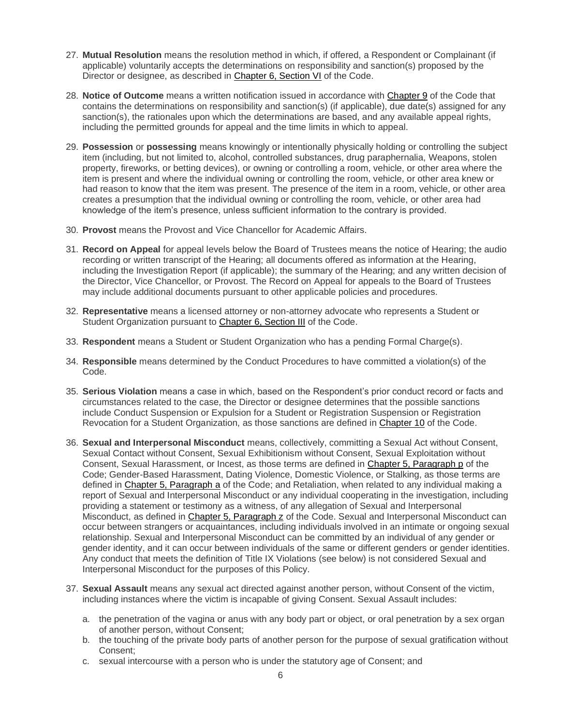- 27. **Mutual Resolution** means the resolution method in which, if offered, a Respondent or Complainant (if applicable) voluntarily accepts the determinations on responsibility and sanction(s) proposed by the Director or designee, as described in [Chapter 6, Section VI](#page-21-1) of the Code.
- 28. **Notice of Outcome** means a written notification issued in accordance with [Chapter 9](#page-32-0) of the Code that contains the determinations on responsibility and sanction(s) (if applicable), due date(s) assigned for any sanction(s), the rationales upon which the determinations are based, and any available appeal rights, including the permitted grounds for appeal and the time limits in which to appeal.
- 29. **Possession** or **possessing** means knowingly or intentionally physically holding or controlling the subject item (including, but not limited to, alcohol, controlled substances, drug paraphernalia, Weapons, stolen property, fireworks, or betting devices), or owning or controlling a room, vehicle, or other area where the item is present and where the individual owning or controlling the room, vehicle, or other area knew or had reason to know that the item was present. The presence of the item in a room, vehicle, or other area creates a presumption that the individual owning or controlling the room, vehicle, or other area had knowledge of the item's presence, unless sufficient information to the contrary is provided.
- 30. **Provost** means the Provost and Vice Chancellor for Academic Affairs.
- 31. **Record on Appeal** for appeal levels below the Board of Trustees means the notice of Hearing; the audio recording or written transcript of the Hearing; all documents offered as information at the Hearing, including the Investigation Report (if applicable); the summary of the Hearing; and any written decision of the Director, Vice Chancellor, or Provost. The Record on Appeal for appeals to the Board of Trustees may include additional documents pursuant to other applicable policies and procedures.
- 32. **Representative** means a licensed attorney or non-attorney advocate who represents a Student or Student Organization pursuant to [Chapter 6, Section III](#page-18-0) of the Code.
- 33. **Respondent** means a Student or Student Organization who has a pending Formal Charge(s).
- 34. **Responsible** means determined by the Conduct Procedures to have committed a violation(s) of the Code.
- 35. **Serious Violation** means a case in which, based on the Respondent's prior conduct record or facts and circumstances related to the case, the Director or designee determines that the possible sanctions include Conduct Suspension or Expulsion for a Student or Registration Suspension or Registration Revocation for a Student Organization, as those sanctions are defined in [Chapter 10](#page-35-0) of the Code.
- 36. **Sexual and Interpersonal Misconduct** means, collectively, committing a Sexual Act without Consent, Sexual Contact without Consent, Sexual Exhibitionism without Consent, Sexual Exploitation without Consent, Sexual Harassment, or Incest, as those terms are defined in [Chapter 5, Paragraph p](#page-15-0) of the Code; Gender-Based Harassment, Dating Violence, Domestic Violence, or Stalking, as those terms are defined in [Chapter 5, Paragraph a](#page-12-0) of the Code; and Retaliation, when related to any individual making a report of Sexual and Interpersonal Misconduct or any individual cooperating in the investigation, including providing a statement or testimony as a witness, of any allegation of Sexual and Interpersonal Misconduct, as defined in [Chapter 5, Paragraph z](#page-16-1) of the Code. Sexual and Interpersonal Misconduct can occur between strangers or acquaintances, including individuals involved in an intimate or ongoing sexual relationship. Sexual and Interpersonal Misconduct can be committed by an individual of any gender or gender identity, and it can occur between individuals of the same or different genders or gender identities. Any conduct that meets the definition of Title IX Violations (see below) is not considered Sexual and Interpersonal Misconduct for the purposes of this Policy.
- 37. **Sexual Assault** means any sexual act directed against another person, without Consent of the victim, including instances where the victim is incapable of giving Consent. Sexual Assault includes:
	- a. the penetration of the vagina or anus with any body part or object, or oral penetration by a sex organ of another person, without Consent;
	- b. the touching of the private body parts of another person for the purpose of sexual gratification without Consent;
	- c. sexual intercourse with a person who is under the statutory age of Consent; and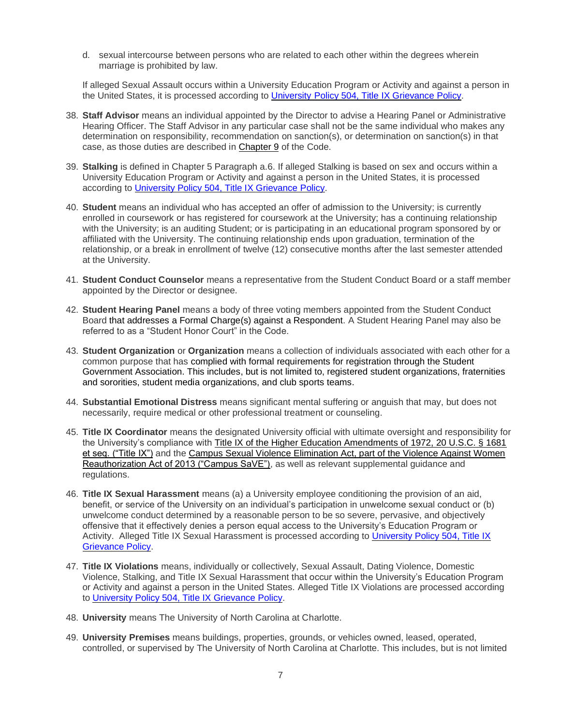d. sexual intercourse between persons who are related to each other within the degrees wherein marriage is prohibited by law.

If alleged Sexual Assault occurs within a University Education Program or Activity and against a person in the United States, it is processed according to University [Policy 504, Title IX Grievance](https://legal.uncc.edu/policies/up-504) Policy.

- 38. **Staff Advisor** means an individual appointed by the Director to advise a Hearing Panel or Administrative Hearing Officer. The Staff Advisor in any particular case shall not be the same individual who makes any determination on responsibility, recommendation on sanction(s), or determination on sanction(s) in that case, as those duties are described in [Chapter 9](#page-32-0) of the Code.
- 39. **Stalking** is defined in Chapter 5 Paragraph a.6. If alleged Stalking is based on sex and occurs within a University Education Program or Activity and against a person in the United States, it is processed according to [University Policy 504, Title IX Grievance](https://legal.uncc.edu/policies/up-504) Policy.
- 40. **Student** means an individual who has accepted an offer of admission to the University; is currently enrolled in coursework or has registered for coursework at the University; has a continuing relationship with the University; is an auditing Student; or is participating in an educational program sponsored by or affiliated with the University. The continuing relationship ends upon graduation, termination of the relationship, or a break in enrollment of twelve (12) consecutive months after the last semester attended at the University.
- 41. **Student Conduct Counselor** means a representative from the Student Conduct Board or a staff member appointed by the Director or designee.
- 42. **Student Hearing Panel** means a body of three voting members appointed from the Student Conduct Board that addresses a Formal Charge(s) against a Respondent. A Student Hearing Panel may also be referred to as a "Student Honor Court" in the Code.
- 43. **Student Organization** or **Organization** means a collection of individuals associated with each other for a common purpose that has complied with formal requirements for registration through the Student Government Association. This includes, but is not limited to, registered student organizations, fraternities and sororities, student media organizations, and club sports teams.
- 44. **Substantial Emotional Distress** means significant mental suffering or anguish that may, but does not necessarily, require medical or other professional treatment or counseling.
- 45. **Title IX Coordinator** means the designated University official with ultimate oversight and responsibility for the University's compliance with [Title IX of the Higher Education Amendments of 1972, 20 U.S.C. § 1681](https://www.dol.gov/oasam/regs/statutes/titleix.htm)  [et seq. \("Title IX"\)](https://www.dol.gov/oasam/regs/statutes/titleix.htm) and the Campus Sexual Violence Elimination Act, part of the Violence Against Women [Reauthorization Act of 2013 \("Campus SaVE"\),](https://www.federalregister.gov/articles/2014/10/20/2014-24284/violence-against-women-act#page-62751) as well as relevant supplemental guidance and regulations.
- 46. **Title IX Sexual Harassment** means (a) a University employee conditioning the provision of an aid, benefit, or service of the University on an individual's participation in unwelcome sexual conduct or (b) unwelcome conduct determined by a reasonable person to be so severe, pervasive, and objectively offensive that it effectively denies a person equal access to the University's Education Program or Activity. Alleged Title IX Sexual Harassment is processed according to [University Policy 504, Title IX](https://legal.uncc.edu/policies/up-504)  [Grievance Policy.](https://legal.uncc.edu/policies/up-504)
- 47. **Title IX Violations** means, individually or collectively, Sexual Assault, Dating Violence, Domestic Violence, Stalking, and Title IX Sexual Harassment that occur within the University's Education Program or Activity and against a person in the United States. Alleged Title IX Violations are processed according to [University Policy 504, Title IX Grievance](https://legal.uncc.edu/policies/up-504) Policy.
- 48. **University** means The University of North Carolina at Charlotte.
- 49. **University Premises** means buildings, properties, grounds, or vehicles owned, leased, operated, controlled, or supervised by The University of North Carolina at Charlotte. This includes, but is not limited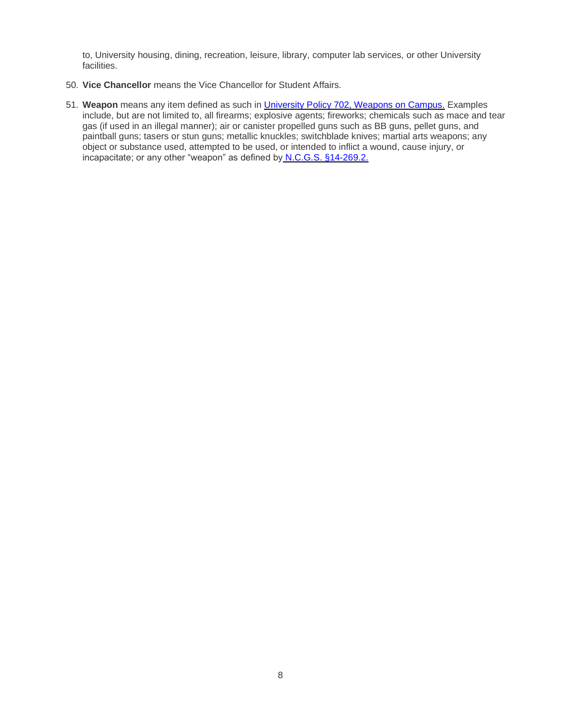to, University housing, dining, recreation, leisure, library, computer lab services, or other University facilities.

- 50. **Vice Chancellor** means the Vice Chancellor for Student Affairs.
- <span id="page-7-0"></span>51. **Weapon** means any item defined as such in [University Policy 702, Weapons on Campus.](https://legal.uncc.edu/policies/up-702) Examples include, but are not limited to, all firearms; explosive agents; fireworks; chemicals such as mace and tear gas (if used in an illegal manner); air or canister propelled guns such as BB guns, pellet guns, and paintball guns; tasers or stun guns; metallic knuckles; switchblade knives; martial arts weapons; any object or substance used, attempted to be used, or intended to inflict a wound, cause injury, or incapacitate; or any other "weapon" as defined by [N.C.G.S. §14-269.2.](http://www.ncleg.net/EnactedLegislation/Statutes/HTML/BySection/Chapter_14/GS_14-269.2.html)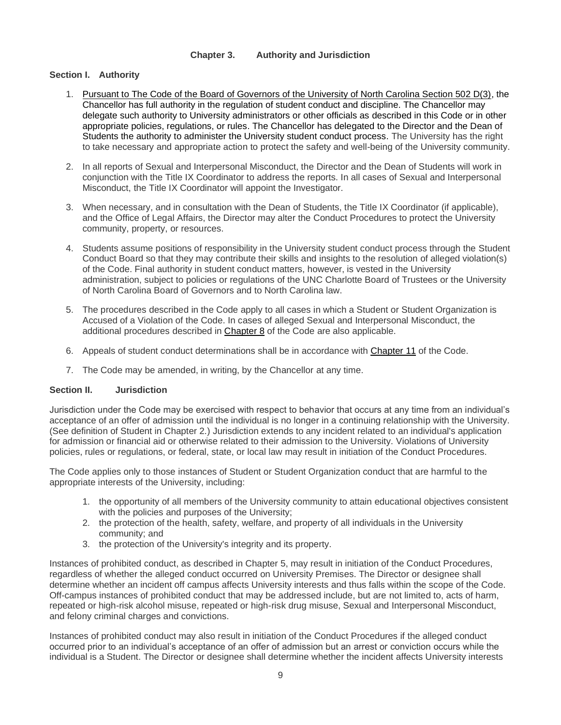## **Chapter 3. Authority and Jurisdiction**

#### **Section I. Authority**

- 1. Pursuant to The Code of the Board of Governors of the University of North Carolina Section 502 D(3), the Chancellor has full authority in the regulation of student conduct and discipline. The Chancellor may delegate such authority to University administrators or other officials as described in this Code or in other appropriate policies, regulations, or rules. The Chancellor has delegated to the Director and the Dean of Students the authority to administer the University student conduct process. The University has the right to take necessary and appropriate action to protect the safety and well-being of the University community.
- 2. In all reports of Sexual and Interpersonal Misconduct, the Director and the Dean of Students will work in conjunction with the Title IX Coordinator to address the reports. In all cases of Sexual and Interpersonal Misconduct, the Title IX Coordinator will appoint the Investigator.
- 3. When necessary, and in consultation with the Dean of Students, the Title IX Coordinator (if applicable), and the Office of Legal Affairs, the Director may alter the Conduct Procedures to protect the University community, property, or resources.
- 4. Students assume positions of responsibility in the University student conduct process through the Student Conduct Board so that they may contribute their skills and insights to the resolution of alleged violation(s) of the Code. Final authority in student conduct matters, however, is vested in the University administration, subject to policies or regulations of the UNC Charlotte Board of Trustees or the University of North Carolina Board of Governors and to North Carolina law.
- 5. The procedures described in the Code apply to all cases in which a Student or Student Organization is Accused of a Violation of the Code. In cases of alleged Sexual and Interpersonal Misconduct, the additional procedures described in [Chapter 8](#page-24-0) of the Code are also applicable.
- 6. Appeals of student conduct determinations shall be in accordance with [Chapter 11](#page-39-0) of the Code.
- 7. The Code may be amended, in writing, by the Chancellor at any time.

#### **Section II. Jurisdiction**

Jurisdiction under the Code may be exercised with respect to behavior that occurs at any time from an individual's acceptance of an offer of admission until the individual is no longer in a continuing relationship with the University. (See definition of Student in Chapter 2.) Jurisdiction extends to any incident related to an individual's application for admission or financial aid or otherwise related to their admission to the University. Violations of University policies, rules or regulations, or federal, state, or local law may result in initiation of the Conduct Procedures.

The Code applies only to those instances of Student or Student Organization conduct that are harmful to the appropriate interests of the University, including:

- 1. the opportunity of all members of the University community to attain educational objectives consistent with the policies and purposes of the University;
- 2. the protection of the health, safety, welfare, and property of all individuals in the University community; and
- 3. the protection of the University's integrity and its property.

Instances of prohibited conduct, as described in Chapter 5, may result in initiation of the Conduct Procedures, regardless of whether the alleged conduct occurred on University Premises. The Director or designee shall determine whether an incident off campus affects University interests and thus falls within the scope of the Code. Off-campus instances of prohibited conduct that may be addressed include, but are not limited to, acts of harm, repeated or high-risk alcohol misuse, repeated or high-risk drug misuse, Sexual and Interpersonal Misconduct, and felony criminal charges and convictions.

Instances of prohibited conduct may also result in initiation of the Conduct Procedures if the alleged conduct occurred prior to an individual's acceptance of an offer of admission but an arrest or conviction occurs while the individual is a Student. The Director or designee shall determine whether the incident affects University interests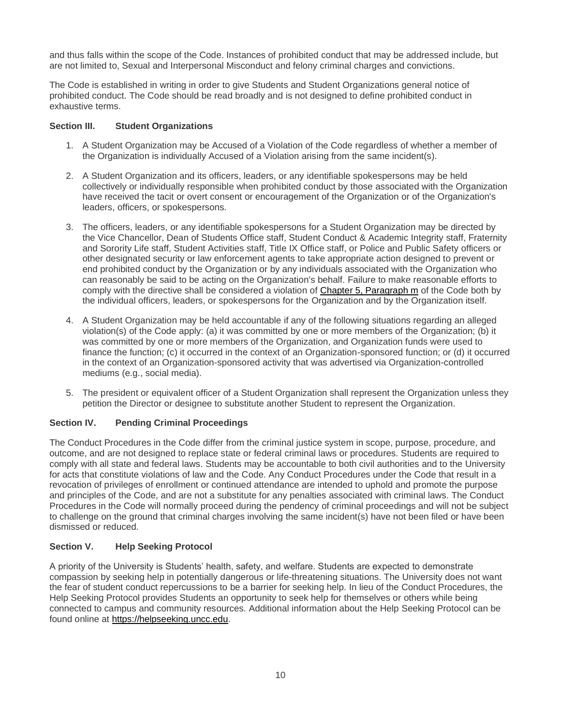and thus falls within the scope of the Code. Instances of prohibited conduct that may be addressed include, but are not limited to, Sexual and Interpersonal Misconduct and felony criminal charges and convictions.

The Code is established in writing in order to give Students and Student Organizations general notice of prohibited conduct. The Code should be read broadly and is not designed to define prohibited conduct in exhaustive terms.

## **Section III. Student Organizations**

- 1. A Student Organization may be Accused of a Violation of the Code regardless of whether a member of the Organization is individually Accused of a Violation arising from the same incident(s).
- 2. A Student Organization and its officers, leaders, or any identifiable spokespersons may be held collectively or individually responsible when prohibited conduct by those associated with the Organization have received the tacit or overt consent or encouragement of the Organization or of the Organization's leaders, officers, or spokespersons.
- 3. The officers, leaders, or any identifiable spokespersons for a Student Organization may be directed by the Vice Chancellor, Dean of Students Office staff, Student Conduct & Academic Integrity staff, Fraternity and Sorority Life staff, Student Activities staff, Title IX Office staff, or Police and Public Safety officers or other designated security or law enforcement agents to take appropriate action designed to prevent or end prohibited conduct by the Organization or by any individuals associated with the Organization who can reasonably be said to be acting on the Organization's behalf. Failure to make reasonable efforts to comply with the directive shall be considered a violation of [Chapter 5, Paragraph m](#page-14-0) of the Code both by the individual officers, leaders, or spokespersons for the Organization and by the Organization itself.
- 4. A Student Organization may be held accountable if any of the following situations regarding an alleged violation(s) of the Code apply: (a) it was committed by one or more members of the Organization; (b) it was committed by one or more members of the Organization, and Organization funds were used to finance the function; (c) it occurred in the context of an Organization-sponsored function; or (d) it occurred in the context of an Organization-sponsored activity that was advertised via Organization-controlled mediums (e.g., social media).
- 5. The president or equivalent officer of a Student Organization shall represent the Organization unless they petition the Director or designee to substitute another Student to represent the Organization.

## **Section IV. Pending Criminal Proceedings**

The Conduct Procedures in the Code differ from the criminal justice system in scope, purpose, procedure, and outcome, and are not designed to replace state or federal criminal laws or procedures. Students are required to comply with all state and federal laws. Students may be accountable to both civil authorities and to the University for acts that constitute violations of law and the Code. Any Conduct Procedures under the Code that result in a revocation of privileges of enrollment or continued attendance are intended to uphold and promote the purpose and principles of the Code, and are not a substitute for any penalties associated with criminal laws. The Conduct Procedures in the Code will normally proceed during the pendency of criminal proceedings and will not be subject to challenge on the ground that criminal charges involving the same incident(s) have not been filed or have been dismissed or reduced.

## **Section V. Help Seeking Protocol**

<span id="page-9-0"></span>A priority of the University is Students' health, safety, and welfare. Students are expected to demonstrate compassion by seeking help in potentially dangerous or life-threatening situations. The University does not want the fear of student conduct repercussions to be a barrier for seeking help. In lieu of the Conduct Procedures, the Help Seeking Protocol provides Students an opportunity to seek help for themselves or others while being connected to campus and community resources. Additional information about the Help Seeking Protocol can be found online at [https://helpseeking.uncc.edu.](http://helpseeking.uncc.edu/)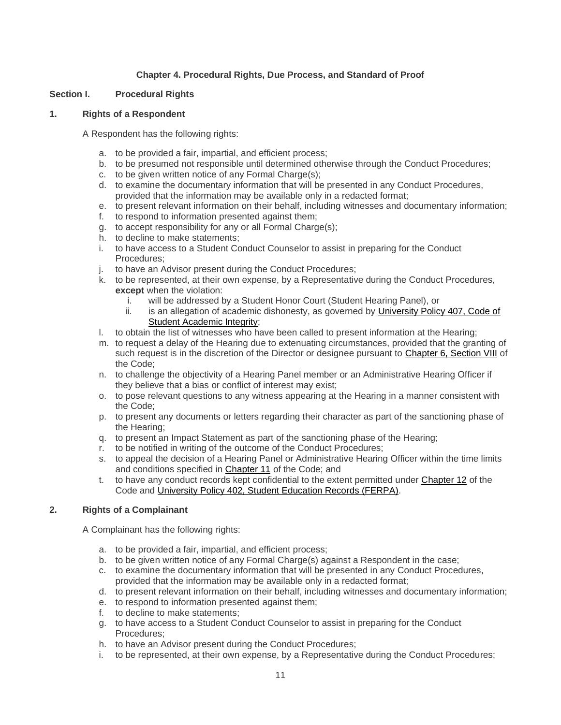## **Chapter 4. Procedural Rights, Due Process, and Standard of Proof**

#### **Section I. Procedural Rights**

#### **1. Rights of a Respondent**

A Respondent has the following rights:

- a. to be provided a fair, impartial, and efficient process;
- b. to be presumed not responsible until determined otherwise through the Conduct Procedures;
- c. to be given written notice of any Formal Charge(s);
- d. to examine the documentary information that will be presented in any Conduct Procedures, provided that the information may be available only in a redacted format;
- e. to present relevant information on their behalf, including witnesses and documentary information;
- f. to respond to information presented against them;
- g. to accept responsibility for any or all Formal Charge(s);
- h. to decline to make statements;
- i. to have access to a Student Conduct Counselor to assist in preparing for the Conduct Procedures;
- j. to have an Advisor present during the Conduct Procedures;
- k. to be represented, at their own expense, by a Representative during the Conduct Procedures, **except** when the violation:
	- i. will be addressed by a Student Honor Court (Student Hearing Panel), or
	- ii. is an allegation of academic dishonesty, as governed by [University Policy 407, Code of](https://legal.uncc.edu/policies/up-407)  [Student Academic Integrity;](https://legal.uncc.edu/policies/up-407)
- l. to obtain the list of witnesses who have been called to present information at the Hearing;
- m. to request a delay of the Hearing due to extenuating circumstances, provided that the granting of such request is in the discretion of the Director or designee pursuant to [Chapter 6, Section VIII](#page-22-0) of the Code;
- n. to challenge the objectivity of a Hearing Panel member or an Administrative Hearing Officer if they believe that a bias or conflict of interest may exist;
- o. to pose relevant questions to any witness appearing at the Hearing in a manner consistent with the Code;
- p. to present any documents or letters regarding their character as part of the sanctioning phase of the Hearing;
- q. to present an Impact Statement as part of the sanctioning phase of the Hearing;
- r. to be notified in writing of the outcome of the Conduct Procedures;
- s. to appeal the decision of a Hearing Panel or Administrative Hearing Officer within the time limits and conditions specified in [Chapter 11](#page-39-0) of the Code; and
- t. to have any conduct records kept confidential to the extent permitted under [Chapter 12](#page-42-0) of the Code and [University Policy 402, Student Education Records \(FERPA\).](https://legal.uncc.edu/policies/up-402)

## **2. Rights of a Complainant**

A Complainant has the following rights:

- a. to be provided a fair, impartial, and efficient process;
- b. to be given written notice of any Formal Charge(s) against a Respondent in the case;
- c. to examine the documentary information that will be presented in any Conduct Procedures, provided that the information may be available only in a redacted format;
- d. to present relevant information on their behalf, including witnesses and documentary information;
- e. to respond to information presented against them;
- f. to decline to make statements;
- g. to have access to a Student Conduct Counselor to assist in preparing for the Conduct Procedures;
- h. to have an Advisor present during the Conduct Procedures;
- i. to be represented, at their own expense, by a Representative during the Conduct Procedures;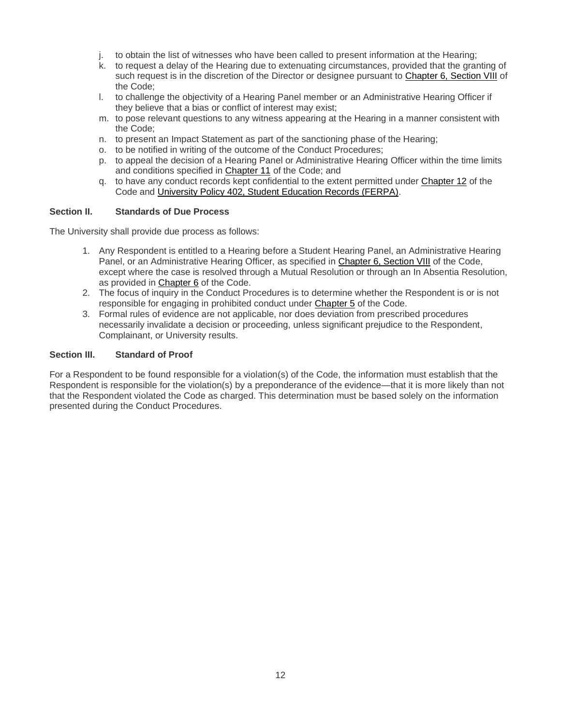- j. to obtain the list of witnesses who have been called to present information at the Hearing;
- k. to request a delay of the Hearing due to extenuating circumstances, provided that the granting of such request is in the discretion of the Director or designee pursuant to [Chapter 6, Section VIII](#page-22-0) of the Code;
- l. to challenge the objectivity of a Hearing Panel member or an Administrative Hearing Officer if they believe that a bias or conflict of interest may exist;
- m. to pose relevant questions to any witness appearing at the Hearing in a manner consistent with the Code;
- n. to present an Impact Statement as part of the sanctioning phase of the Hearing;
- o. to be notified in writing of the outcome of the Conduct Procedures;
- p. to appeal the decision of a Hearing Panel or Administrative Hearing Officer within the time limits and conditions specified in [Chapter 11](#page-39-0) of the Code; and
- q. to have any conduct records kept confidential to the extent permitted under [Chapter 12](#page-42-0) of the Code and [University Policy 402, Student Education Records \(FERPA\).](https://legal.uncc.edu/policies/up-402)

#### **Section II. Standards of Due Process**

The University shall provide due process as follows:

- 1. Any Respondent is entitled to a Hearing before a Student Hearing Panel, an Administrative Hearing Panel, or an Administrative Hearing Officer, as specified in [Chapter 6, Section VIII](#page-22-0) of the Code, except where the case is resolved through a Mutual Resolution or through an In Absentia Resolution, as provided in [Chapter 6](#page-16-0) of the Code.
- 2. The focus of inquiry in the Conduct Procedures is to determine whether the Respondent is or is not responsible for engaging in prohibited conduct under [Chapter 5](#page-11-0) of the Code.
- 3. Formal rules of evidence are not applicable, nor does deviation from prescribed procedures necessarily invalidate a decision or proceeding, unless significant prejudice to the Respondent, Complainant, or University results.

#### **Section III. Standard of Proof**

<span id="page-11-0"></span>For a Respondent to be found responsible for a violation(s) of the Code, the information must establish that the Respondent is responsible for the violation(s) by a preponderance of the evidence—that it is more likely than not that the Respondent violated the Code as charged. This determination must be based solely on the information presented during the Conduct Procedures.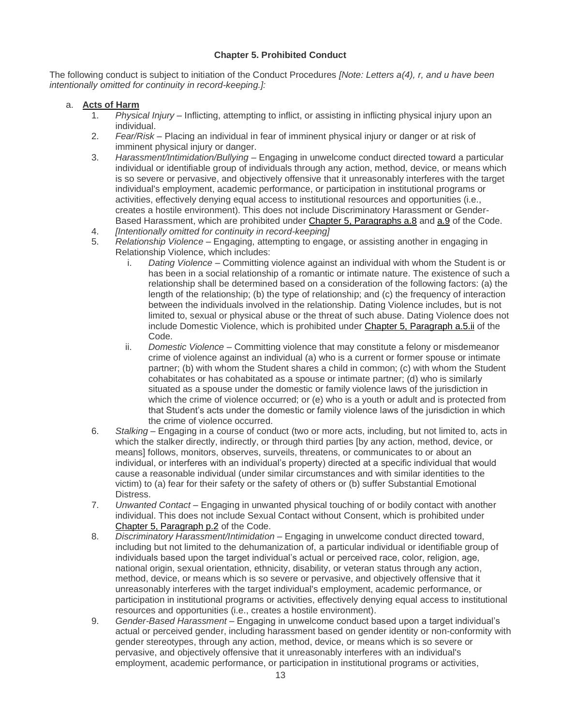# **Chapter 5. Prohibited Conduct**

The following conduct is subject to initiation of the Conduct Procedures *[Note: Letters a(4), r, and u have been intentionally omitted for continuity in record-keeping.]:*

#### <span id="page-12-0"></span>a. **Acts of Harm**

- 1. *Physical Injury –* Inflicting, attempting to inflict, or assisting in inflicting physical injury upon an individual.
- 2. *Fear/Risk –* Placing an individual in fear of imminent physical injury or danger or at risk of imminent physical injury or danger.
- 3. *Harassment/Intimidation/Bullying –* Engaging in unwelcome conduct directed toward a particular individual or identifiable group of individuals through any action, method, device, or means which is so severe or pervasive, and objectively offensive that it unreasonably interferes with the target individual's employment, academic performance, or participation in institutional programs or activities, effectively denying equal access to institutional resources and opportunities (i.e., creates a hostile environment). This does not include Discriminatory Harassment or Gender-Based Harassment, which are prohibited under [Chapter 5, Paragraphs a.8](#page-12-1) and [a.9](#page-12-2) of the Code.
- 4. *[Intentionally omitted for continuity in record-keeping]*
- <span id="page-12-4"></span>5. *Relationship Violence –* Engaging, attempting to engage, or assisting another in engaging in Relationship Violence, which includes:
	- i. *Dating Violence* Committing violence against an individual with whom the Student is or has been in a social relationship of a romantic or intimate nature. The existence of such a relationship shall be determined based on a consideration of the following factors: (a) the length of the relationship; (b) the type of relationship; and (c) the frequency of interaction between the individuals involved in the relationship. Dating Violence includes, but is not limited to, sexual or physical abuse or the threat of such abuse. Dating Violence does not include Domestic Violence, which is prohibited under [Chapter 5, Paragraph a.5.ii](#page-12-3) of the Code.
	- ii. *Domestic Violence* Committing violence that may constitute a felony or misdemeanor crime of violence against an individual (a) who is a current or former spouse or intimate partner; (b) with whom the Student shares a child in common; (c) with whom the Student cohabitates or has cohabitated as a spouse or intimate partner; (d) who is similarly situated as a spouse under the domestic or family violence laws of the jurisdiction in which the crime of violence occurred; or (e) who is a youth or adult and is protected from that Student's acts under the domestic or family violence laws of the jurisdiction in which the crime of violence occurred.
- <span id="page-12-5"></span><span id="page-12-3"></span>6. *Stalking* – Engaging in a course of conduct (two or more acts, including, but not limited to, acts in which the stalker directly, indirectly, or through third parties [by any action, method, device, or means] follows, monitors, observes, surveils, threatens, or communicates to or about an individual, or interferes with an individual's property) directed at a specific individual that would cause a reasonable individual (under similar circumstances and with similar identities to the victim) to (a) fear for their safety or the safety of others or (b) suffer Substantial Emotional Distress.
- 7. *Unwanted Contact –* Engaging in unwanted physical touching of or bodily contact with another individual. This does not include Sexual Contact without Consent, which is prohibited under [Chapter 5, Paragraph p.2](#page-15-1) of the Code.
- <span id="page-12-1"></span>8. *Discriminatory Harassment/Intimidation* – Engaging in unwelcome conduct directed toward, including but not limited to the dehumanization of, a particular individual or identifiable group of individuals based upon the target individual's actual or perceived race, color, religion, age, national origin, sexual orientation, ethnicity, disability, or veteran status through any action, method, device, or means which is so severe or pervasive, and objectively offensive that it unreasonably interferes with the target individual's employment, academic performance, or participation in institutional programs or activities, effectively denying equal access to institutional resources and opportunities (i.e., creates a hostile environment).
- <span id="page-12-2"></span>9. *Gender-Based Harassment –* Engaging in unwelcome conduct based upon a target individual's actual or perceived gender, including harassment based on gender identity or non-conformity with gender stereotypes, through any action, method, device, or means which is so severe or pervasive, and objectively offensive that it unreasonably interferes with an individual's employment, academic performance, or participation in institutional programs or activities,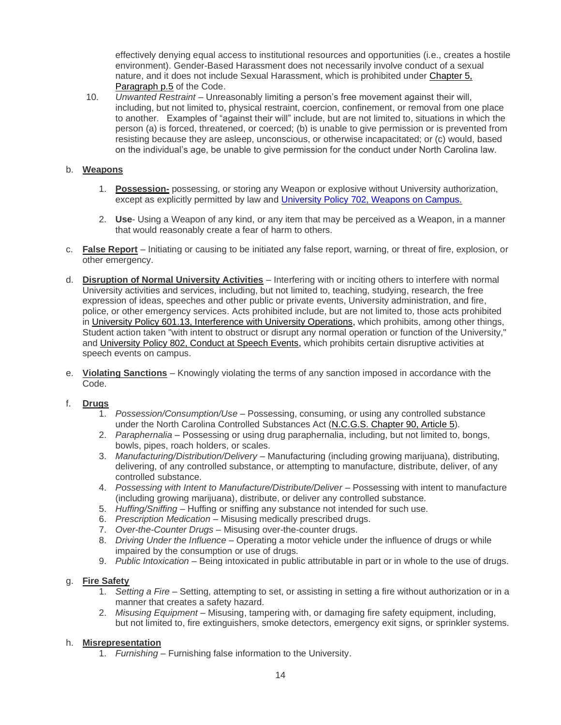effectively denying equal access to institutional resources and opportunities (i.e., creates a hostile environment). Gender-Based Harassment does not necessarily involve conduct of a sexual nature, and it does not include Sexual Harassment, which is prohibited under Chapter 5, [Paragraph p.5](#page-15-2) of the Code.

10. *Unwanted Restraint –* Unreasonably limiting a person's free movement against their will, including, but not limited to, physical restraint, coercion, confinement, or removal from one place to another. Examples of "against their will" include, but are not limited to, situations in which the person (a) is forced, threatened, or coerced; (b) is unable to give permission or is prevented from resisting because they are asleep, unconscious, or otherwise incapacitated; or (c) would, based on the individual's age, be unable to give permission for the conduct under North Carolina law.

## b. **Weapons**

- 1. **Possession-** possessing, or storing any Weapon or explosive without University authorization, except as explicitly permitted by law and [University Policy 702, Weapons on Campus.](https://legal.uncc.edu/policies/up-702)
- 2. **Use** Using a Weapon of any kind, or any item that may be perceived as a Weapon, in a manner that would reasonably create a fear of harm to others.
- c. **False Report** Initiating or causing to be initiated any false report, warning, or threat of fire, explosion, or other emergency.
- d. **Disruption of Normal University Activities** Interfering with or inciting others to interfere with normal University activities and services, including, but not limited to, teaching, studying, research, the free expression of ideas, speeches and other public or private events, University administration, and fire, police, or other emergency services. Acts prohibited include, but are not limited to, those acts prohibited in [University Policy 601.13, Interference with University Operations,](https://legal.uncc.edu/policies/up-601.13) which prohibits, among other things, Student action taken "with intent to obstruct or disrupt any normal operation or function of the University," and [University Policy 802, Conduct at Speech Events,](https://legal.uncc.edu/policies/up-802) which prohibits certain disruptive activities at speech events on campus.
- <span id="page-13-0"></span>e. **Violating Sanctions** – Knowingly violating the terms of any sanction imposed in accordance with the Code.

## f. **Drugs**

- 1. *Possession/Consumption/Use*  Possessing, consuming, or using any controlled substance under the North Carolina Controlled Substances Act [\(N.C.G.S. Chapter 90, Article](http://www.ncleg.net/EnactedLegislation/Statutes/HTML/ByArticle/Chapter_90/Article_5.html) 5).
- 2. *Paraphernalia* Possessing or using drug paraphernalia, including, but not limited to, bongs, bowls, pipes, roach holders, or scales.
- 3. *Manufacturing/Distribution/Delivery* Manufacturing (including growing marijuana), distributing, delivering, of any controlled substance, or attempting to manufacture, distribute, deliver, of any controlled substance.
- 4. *Possessing with Intent to Manufacture/Distribute/Deliver* Possessing with intent to manufacture (including growing marijuana), distribute, or deliver any controlled substance.
- 5. *Huffing/Sniffing* Huffing or sniffing any substance not intended for such use.
- 6. *Prescription Medication* Misusing medically prescribed drugs.
- 7. *Over-the-Counter Drugs* Misusing over-the-counter drugs.
- 8. *Driving Under the Influence* Operating a motor vehicle under the influence of drugs or while impaired by the consumption or use of drugs.
- 9. *Public Intoxication* Being intoxicated in public attributable in part or in whole to the use of drugs.

## g. **Fire Safety**

- 1. *Setting a Fire* Setting, attempting to set, or assisting in setting a fire without authorization or in a manner that creates a safety hazard.
- 2. *Misusing Equipment* Misusing, tampering with, or damaging fire safety equipment, including, but not limited to, fire extinguishers, smoke detectors, emergency exit signs, or sprinkler systems.

#### h. **Misrepresentation**

1. *Furnishing* – Furnishing false information to the University.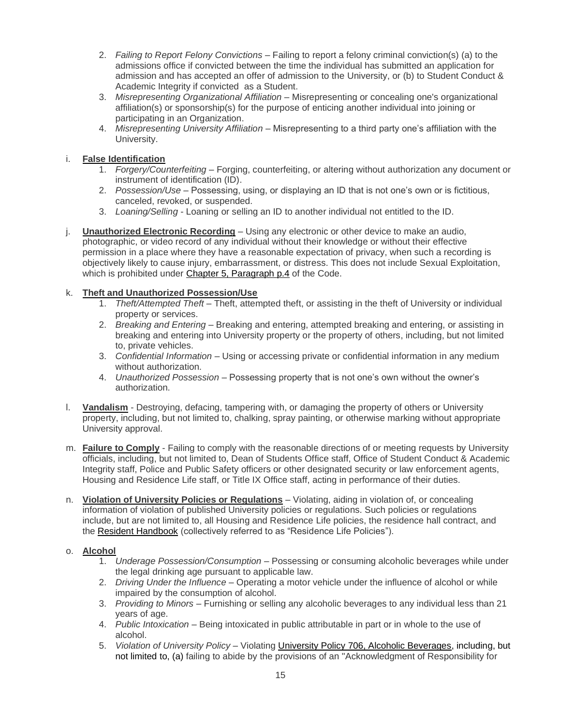- 2. *Failing to Report Felony Convictions* Failing to report a felony criminal conviction(s) (a) to the admissions office if convicted between the time the individual has submitted an application for admission and has accepted an offer of admission to the University, or (b) to Student Conduct & Academic Integrity if convicted as a Student.
- 3. *Misrepresenting Organizational Affiliation* Misrepresenting or concealing one's organizational affiliation(s) or sponsorship(s) for the purpose of enticing another individual into joining or participating in an Organization.
- 4. *Misrepresenting University Affiliation* Misrepresenting to a third party one's affiliation with the University.

# i. **False Identification**

- 1. *Forgery/Counterfeiting* Forging, counterfeiting, or altering without authorization any document or instrument of identification (ID).
- 2. *Possession/Use*  Possessing, using, or displaying an ID that is not one's own or is fictitious, canceled, revoked, or suspended.
- 3. *Loaning/Selling*  Loaning or selling an ID to another individual not entitled to the ID.
- j. **Unauthorized Electronic Recording** Using any electronic or other device to make an audio, photographic, or video record of any individual without their knowledge or without their effective permission in a place where they have a reasonable expectation of privacy, when such a recording is objectively likely to cause injury, embarrassment, or distress. This does not include Sexual Exploitation, which is prohibited under [Chapter 5, Paragraph p.4](#page-15-3) of the Code.

# k. **Theft and Unauthorized Possession/Use**

- 1. *Theft/Attempted Theft* Theft, attempted theft, or assisting in the theft of University or individual property or services.
- 2. *Breaking and Entering* Breaking and entering, attempted breaking and entering, or assisting in breaking and entering into University property or the property of others, including, but not limited to, private vehicles.
- 3. *Confidential Information* Using or accessing private or confidential information in any medium without authorization.
- 4. *Unauthorized Possession* Possessing property that is not one's own without the owner's authorization.
- l. **Vandalism** Destroying, defacing, tampering with, or damaging the property of others or University property, including, but not limited to, chalking, spray painting, or otherwise marking without appropriate University approval.
- <span id="page-14-0"></span>m. **Failure to Comply** - Failing to comply with the reasonable directions of or meeting requests by University officials, including, but not limited to, Dean of Students Office staff, Office of Student Conduct & Academic Integrity staff, Police and Public Safety officers or other designated security or law enforcement agents, Housing and Residence Life staff, or Title IX Office staff, acting in performance of their duties.
- <span id="page-14-1"></span>n. **Violation of University Policies or Regulations** – Violating, aiding in violation of, or concealing information of violation of published University policies or regulations. Such policies or regulations include, but are not limited to, all Housing and Residence Life policies, the residence hall contract, and the [Resident Handbook](https://housing.uncc.edu/campus-living/resident-handbook) (collectively referred to as "Residence Life Policies").

## o. **Alcohol**

- 1. *Underage Possession/Consumption* Possessing or consuming alcoholic beverages while under the legal drinking age pursuant to applicable law.
- 2. *Driving Under the Influence* Operating a motor vehicle under the influence of alcohol or while impaired by the consumption of alcohol.
- 3. *Providing to Minors –* Furnishing or selling any alcoholic beverages to any individual less than 21 years of age.
- 4. *Public Intoxication* Being intoxicated in public attributable in part or in whole to the use of alcohol.
- 5. *Violation of University Policy* Violating [University Policy 706, Alcoholic Beverages,](https://legal.uncc.edu/policies/up-706) including, but not limited to, (a) failing to abide by the provisions of an "Acknowledgment of Responsibility for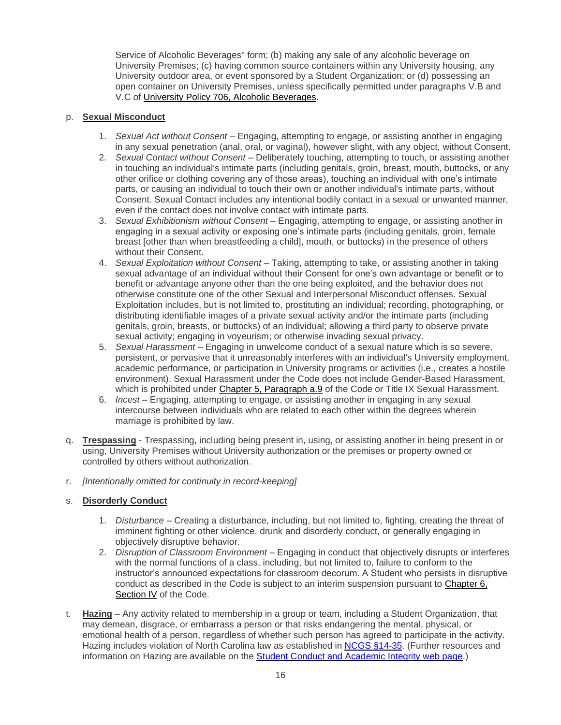Service of Alcoholic Beverages" form; (b) making any sale of any alcoholic beverage on University Premises; (c) having common source containers within any University housing, any University outdoor area, or event sponsored by a Student Organization; or (d) possessing an open container on University Premises, unless specifically permitted under paragraphs V.B and V.C of [University Policy 706, Alcoholic Beverages.](https://legal.uncc.edu/policies/up-706)

#### <span id="page-15-1"></span><span id="page-15-0"></span>p. **Sexual Misconduct**

- 1. *Sexual Act without Consent* Engaging, attempting to engage, or assisting another in engaging in any sexual penetration (anal, oral, or vaginal), however slight, with any object, without Consent.
- 2. *Sexual Contact without Consent –* Deliberately touching, attempting to touch, or assisting another in touching an individual's intimate parts (including genitals, groin, breast, mouth, buttocks, or any other orifice or clothing covering any of those areas), touching an individual with one's intimate parts, or causing an individual to touch their own or another individual's intimate parts, without Consent. Sexual Contact includes any intentional bodily contact in a sexual or unwanted manner, even if the contact does not involve contact with intimate parts.
- 3. *Sexual Exhibitionism without Consent* Engaging, attempting to engage, or assisting another in engaging in a sexual activity or exposing one's intimate parts (including genitals, groin, female breast [other than when breastfeeding a child], mouth, or buttocks) in the presence of others without their Consent.
- <span id="page-15-3"></span>4. *Sexual Exploitation without Consent* – Taking, attempting to take, or assisting another in taking sexual advantage of an individual without their Consent for one's own advantage or benefit or to benefit or advantage anyone other than the one being exploited, and the behavior does not otherwise constitute one of the other Sexual and Interpersonal Misconduct offenses. Sexual Exploitation includes, but is not limited to, prostituting an individual; recording, photographing, or distributing identifiable images of a private sexual activity and/or the intimate parts (including genitals, groin, breasts, or buttocks) of an individual; allowing a third party to observe private sexual activity; engaging in voyeurism; or otherwise invading sexual privacy.
- <span id="page-15-2"></span>5. *Sexual Harassment* – Engaging in unwelcome conduct of a sexual nature which is so severe, persistent, or pervasive that it unreasonably interferes with an individual's University employment, academic performance, or participation in University programs or activities (i.e., creates a hostile environment). Sexual Harassment under the Code does not include Gender-Based Harassment, which is prohibited under [Chapter 5, Paragraph a.9](#page-12-2) of the Code or Title IX Sexual Harassment.
- 6. *Incest* Engaging, attempting to engage, or assisting another in engaging in any sexual intercourse between individuals who are related to each other within the degrees wherein marriage is prohibited by law.
- <span id="page-15-5"></span>q. **Trespassing** - Trespassing, including being present in, using, or assisting another in being present in or using, University Premises without University authorization or the premises or property owned or controlled by others without authorization.
- r. *[Intentionally omitted for continuity in record-keeping]*

## s. **Disorderly Conduct**

- 1. *Disturbance* Creating a disturbance, including, but not limited to, fighting, creating the threat of imminent fighting or other violence, drunk and disorderly conduct, or generally engaging in objectively disruptive behavior.
- <span id="page-15-4"></span>2. *Disruption of Classroom Environment* – Engaging in conduct that objectively disrupts or interferes with the normal functions of a class, including, but not limited to, failure to conform to the instructor's announced expectations for classroom decorum. A Student who persists in disruptive conduct as described in the Code is subject to an interim suspension pursuant to [Chapter 6,](#page-19-0)  [Section IV](#page-19-0) of the Code.
- t. **Hazing** Any activity related to membership in a group or team, including a Student Organization, that may demean, disgrace, or embarrass a person or that risks endangering the mental, physical, or emotional health of a person, regardless of whether such person has agreed to participate in the activity. Hazing includes violation of North Carolina law as established in [NCGS §14-35.](https://www.ncleg.net/EnactedLegislation/Statutes/HTML/BySection/Chapter_14/GS_14-35.html) (Further resources and information on Hazing are available on the [Student Conduct and Academic Integrity web page.\)](https://scai.uncc.edu/node/191)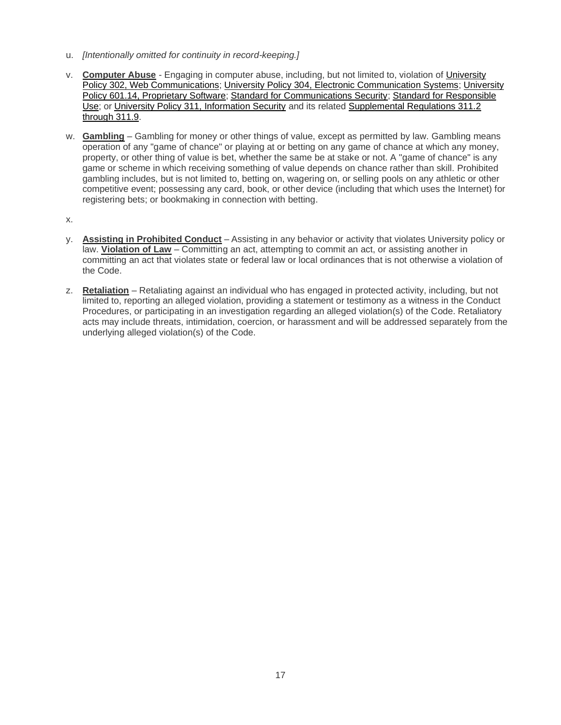- u. *[Intentionally omitted for continuity in record-keeping.]*
- v. **Computer Abuse** Engaging in computer abuse, including, but not limited to, violation of [University](https://legal.uncc.edu/policies/up-302)  [Policy 302, Web Communications;](https://legal.uncc.edu/policies/up-302) [University Policy 304, Electronic Communication Systems;](https://legal.uncc.edu/policies/up-304) [University](https://legal.uncc.edu/policies/up-601.14)  [Policy 601.14, Proprietary Software;](https://legal.uncc.edu/policies/up-601.14) [Standard for Communications Security;](https://itservices.uncc.edu/iso/standard-communications-security) [Standard for Responsible](http://itservices.uncc.edu/iso/standard-responsible-use)  [Use;](http://itservices.uncc.edu/iso/standard-responsible-use) or [University Policy 311, Information Security](https://legal.uncc.edu/policies/up-311) and its related Supplemental Regulations 311.2 [through 311.9.](https://legal.uncc.edu/policies/up-311#regulations)
- w. **Gambling** Gambling for money or other things of value, except as permitted by law. Gambling means operation of any "game of chance" or playing at or betting on any game of chance at which any money, property, or other thing of value is bet, whether the same be at stake or not. A "game of chance" is any game or scheme in which receiving something of value depends on chance rather than skill. Prohibited gambling includes, but is not limited to, betting on, wagering on, or selling pools on any athletic or other competitive event; possessing any card, book, or other device (including that which uses the Internet) for registering bets; or bookmaking in connection with betting.
- x.
- y. **Assisting in Prohibited Conduct** Assisting in any behavior or activity that violates University policy or law. **Violation of Law** – Committing an act, attempting to commit an act, or assisting another in committing an act that violates state or federal law or local ordinances that is not otherwise a violation of the Code.
- <span id="page-16-1"></span><span id="page-16-0"></span>z. **Retaliation** – Retaliating against an individual who has engaged in protected activity, including, but not limited to, reporting an alleged violation, providing a statement or testimony as a witness in the Conduct Procedures, or participating in an investigation regarding an alleged violation(s) of the Code. Retaliatory acts may include threats, intimidation, coercion, or harassment and will be addressed separately from the underlying alleged violation(s) of the Code.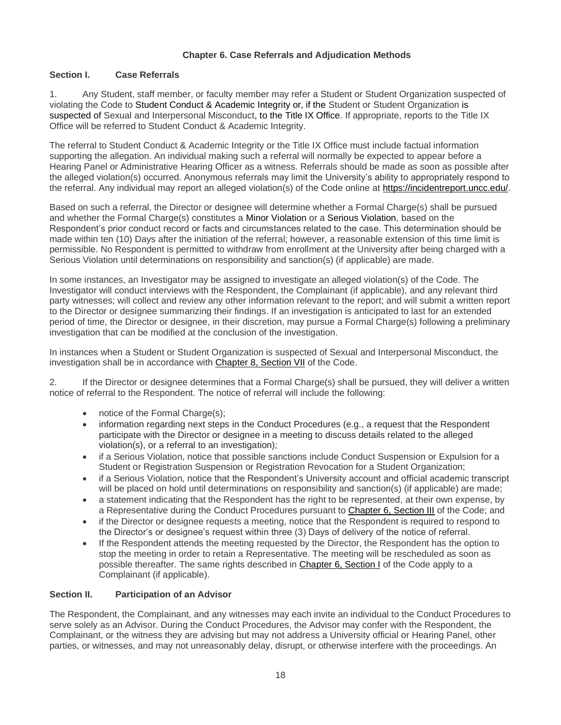## **Chapter 6. Case Referrals and Adjudication Methods**

## <span id="page-17-1"></span>**Section I. Case Referrals**

<span id="page-17-2"></span>1. Any Student, staff member, or faculty member may refer a Student or Student Organization suspected of violating the Code to Student Conduct & Academic Integrity or, if the Student or Student Organization is suspected of Sexual and Interpersonal Misconduct, to the Title IX Office. If appropriate, reports to the Title IX Office will be referred to Student Conduct & Academic Integrity.

The referral to Student Conduct & Academic Integrity or the Title IX Office must include factual information supporting the allegation. An individual making such a referral will normally be expected to appear before a Hearing Panel or Administrative Hearing Officer as a witness. Referrals should be made as soon as possible after the alleged violation(s) occurred. Anonymous referrals may limit the University's ability to appropriately respond to the referral. Any individual may report an alleged violation(s) of the Code online at [https://incidentreport.uncc.edu/.](https://incidentreport.uncc.edu/)

Based on such a referral, the Director or designee will determine whether a Formal Charge(s) shall be pursued and whether the Formal Charge(s) constitutes a Minor Violation or a Serious Violation, based on the Respondent's prior conduct record or facts and circumstances related to the case. This determination should be made within ten (10) Days after the initiation of the referral; however, a reasonable extension of this time limit is permissible. No Respondent is permitted to withdraw from enrollment at the University after being charged with a Serious Violation until determinations on responsibility and sanction(s) (if applicable) are made.

In some instances, an Investigator may be assigned to investigate an alleged violation(s) of the Code. The Investigator will conduct interviews with the Respondent, the Complainant (if applicable), and any relevant third party witnesses; will collect and review any other information relevant to the report; and will submit a written report to the Director or designee summarizing their findings. If an investigation is anticipated to last for an extended period of time, the Director or designee, in their discretion, may pursue a Formal Charge(s) following a preliminary investigation that can be modified at the conclusion of the investigation.

In instances when a Student or Student Organization is suspected of Sexual and Interpersonal Misconduct, the investigation shall be in accordance with Chapter 8, Section VII of the Code.

2. If the Director or designee determines that a Formal Charge(s) shall be pursued, they will deliver a written notice of referral to the Respondent. The notice of referral will include the following:

- notice of the Formal Charge(s);
- information regarding next steps in the Conduct Procedures (e.g., a request that the Respondent participate with the Director or designee in a meeting to discuss details related to the alleged violation(s), or a referral to an investigation);
- if a Serious Violation, notice that possible sanctions include Conduct Suspension or Expulsion for a Student or Registration Suspension or Registration Revocation for a Student Organization;
- if a Serious Violation, notice that the Respondent's University account and official academic transcript will be placed on hold until determinations on responsibility and sanction(s) (if applicable) are made;
- a statement indicating that the Respondent has the right to be represented, at their own expense, by a Representative during the Conduct Procedures pursuant to [Chapter 6, Section III](#page-18-0) of the Code; and
- if the Director or designee requests a meeting, notice that the Respondent is required to respond to the Director's or designee's request within three (3) Days of delivery of the notice of referral.
- If the Respondent attends the meeting requested by the Director, the Respondent has the option to stop the meeting in order to retain a Representative. The meeting will be rescheduled as soon as possible thereafter. The same rights described in [Chapter 6, Section I](#page-17-1) of the Code apply to a Complainant (if applicable).

## <span id="page-17-0"></span>**Section II. Participation of an Advisor**

The Respondent, the Complainant, and any witnesses may each invite an individual to the Conduct Procedures to serve solely as an Advisor. During the Conduct Procedures, the Advisor may confer with the Respondent, the Complainant, or the witness they are advising but may not address a University official or Hearing Panel, other parties, or witnesses, and may not unreasonably delay, disrupt, or otherwise interfere with the proceedings. An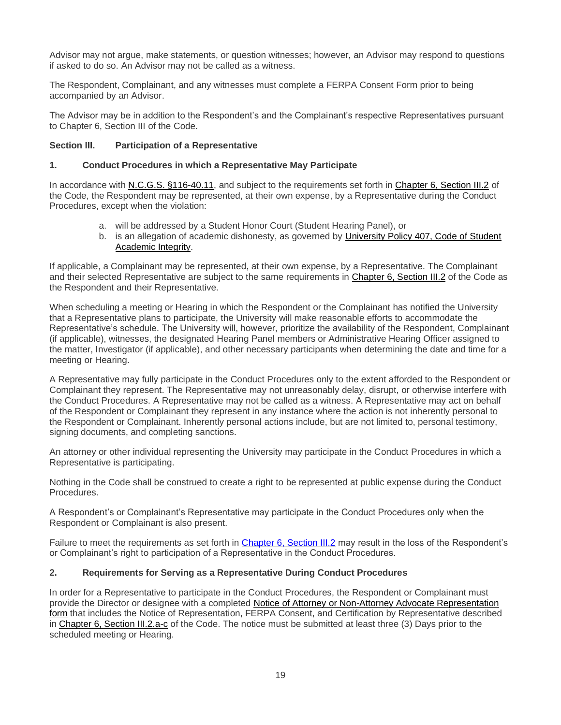Advisor may not argue, make statements, or question witnesses; however, an Advisor may respond to questions if asked to do so. An Advisor may not be called as a witness.

The Respondent, Complainant, and any witnesses must complete a [FERPA Consent Form](http://legal.uncc.edu/legal-topics/ferpa/ferpa-consent) prior to being accompanied by an Advisor.

The Advisor may be in addition to the Respondent's and the Complainant's respective Representatives pursuant to [Chapter 6, Section III](#page-18-0) of the Code.

#### <span id="page-18-0"></span>**Section III. Participation of a Representative**

#### **1. Conduct Procedures in which a Representative May Participate**

In accordance with [N.C.G.S. §116-40.11,](http://www.ncleg.net/EnactedLegislation/Statutes/PDF/BySection/Chapter_116/GS_116-40.11.pdf) and subject to the requirements set forth in [Chapter 6, Section III.2](#page-18-1) of the Code, the Respondent may be represented, at their own expense, by a Representative during the Conduct Procedures, except when the violation:

- a. will be addressed by a Student Honor Court (Student Hearing Panel), or
- b. is an allegation of academic dishonesty, as governed by [University Policy 407, Code of Student](https://legal.uncc.edu/policies/up-407)  [Academic Integrity.](https://legal.uncc.edu/policies/up-407)

If applicable, a Complainant may be represented, at their own expense, by a Representative. The Complainant and their selected Representative are subject to the same requirements in [Chapter 6, Section III.2](#page-18-1) of the Code as the Respondent and their Representative.

When scheduling a meeting or Hearing in which the Respondent or the Complainant has notified the University that a Representative plans to participate, the University will make reasonable efforts to accommodate the Representative's schedule. The University will, however, prioritize the availability of the Respondent, Complainant (if applicable), witnesses, the designated Hearing Panel members or Administrative Hearing Officer assigned to the matter, Investigator (if applicable), and other necessary participants when determining the date and time for a meeting or Hearing.

A Representative may fully participate in the Conduct Procedures only to the extent afforded to the Respondent or Complainant they represent. The Representative may not unreasonably delay, disrupt, or otherwise interfere with the Conduct Procedures. A Representative may not be called as a witness. A Representative may act on behalf of the Respondent or Complainant they represent in any instance where the action is not inherently personal to the Respondent or Complainant. Inherently personal actions include, but are not limited to, personal testimony, signing documents, and completing sanctions.

An attorney or other individual representing the University may participate in the Conduct Procedures in which a Representative is participating.

Nothing in the Code shall be construed to create a right to be represented at public expense during the Conduct Procedures.

A Respondent's or Complainant's Representative may participate in the Conduct Procedures only when the Respondent or Complainant is also present.

Failure to meet the requirements as set forth in [Chapter 6, Section III.2](#page-18-1) may result in the loss of the Respondent's or Complainant's right to participation of a Representative in the Conduct Procedures.

## <span id="page-18-1"></span>**2. Requirements for Serving as a Representative During Conduct Procedures**

In order for a Representative to participate in the Conduct Procedures, the Respondent or Complainant must provide the Director or designee with a completed [Notice of Attorney or Non-Attorney Advocate Representation](https://legal.uncc.edu/sites/legal.uncc.edu/files/media/Notice-AttorneyRepresentation.pdf) form that includes the Notice of Representation, FERPA Consent, and Certification by Representative described in [Chapter 6, Section III.2.a-c](#page-18-1) of the Code. The notice must be submitted at least three (3) Days prior to the scheduled meeting or Hearing.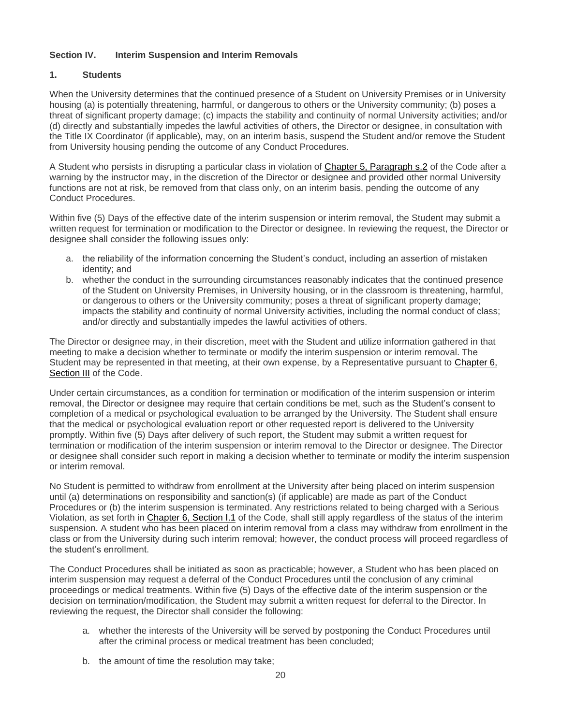# <span id="page-19-0"></span>**Section IV. Interim Suspension and Interim Removals**

#### **1. Students**

When the University determines that the continued presence of a Student on University Premises or in University housing (a) is potentially threatening, harmful, or dangerous to others or the University community; (b) poses a threat of significant property damage; (c) impacts the stability and continuity of normal University activities; and/or (d) directly and substantially impedes the lawful activities of others, the Director or designee, in consultation with the Title IX Coordinator (if applicable), may, on an interim basis, suspend the Student and/or remove the Student from University housing pending the outcome of any Conduct Procedures.

A Student who persists in disrupting a particular class in violation of [Chapter 5, Paragraph s.2](#page-15-4) of the Code after a warning by the instructor may, in the discretion of the Director or designee and provided other normal University functions are not at risk, be removed from that class only, on an interim basis, pending the outcome of any Conduct Procedures.

Within five (5) Days of the effective date of the interim suspension or interim removal, the Student may submit a written request for termination or modification to the Director or designee. In reviewing the request, the Director or designee shall consider the following issues only:

- a. the reliability of the information concerning the Student's conduct, including an assertion of mistaken identity; and
- b. whether the conduct in the surrounding circumstances reasonably indicates that the continued presence of the Student on University Premises, in University housing, or in the classroom is threatening, harmful, or dangerous to others or the University community; poses a threat of significant property damage; impacts the stability and continuity of normal University activities, including the normal conduct of class; and/or directly and substantially impedes the lawful activities of others.

The Director or designee may, in their discretion, meet with the Student and utilize information gathered in that meeting to make a decision whether to terminate or modify the interim suspension or interim removal. The Student may be represented in that meeting, at their own expense, by a Representative pursuant to [Chapter 6,](#page-18-0)  [Section III](#page-18-0) of the Code.

Under certain circumstances, as a condition for termination or modification of the interim suspension or interim removal, the Director or designee may require that certain conditions be met, such as the Student's consent to completion of a medical or psychological evaluation to be arranged by the University. The Student shall ensure that the medical or psychological evaluation report or other requested report is delivered to the University promptly. Within five (5) Days after delivery of such report, the Student may submit a written request for termination or modification of the interim suspension or interim removal to the Director or designee. The Director or designee shall consider such report in making a decision whether to terminate or modify the interim suspension or interim removal.

No Student is permitted to withdraw from enrollment at the University after being placed on interim suspension until (a) determinations on responsibility and sanction(s) (if applicable) are made as part of the Conduct Procedures or (b) the interim suspension is terminated. Any restrictions related to being charged with a Serious Violation, as set forth in [Chapter 6, Section I.1](#page-17-2) of the Code, shall still apply regardless of the status of the interim suspension. A student who has been placed on interim removal from a class may withdraw from enrollment in the class or from the University during such interim removal; however, the conduct process will proceed regardless of the student's enrollment.

The Conduct Procedures shall be initiated as soon as practicable; however, a Student who has been placed on interim suspension may request a deferral of the Conduct Procedures until the conclusion of any criminal proceedings or medical treatments. Within five (5) Days of the effective date of the interim suspension or the decision on termination/modification, the Student may submit a written request for deferral to the Director. In reviewing the request, the Director shall consider the following:

- a. whether the interests of the University will be served by postponing the Conduct Procedures until after the criminal process or medical treatment has been concluded;
- b. the amount of time the resolution may take;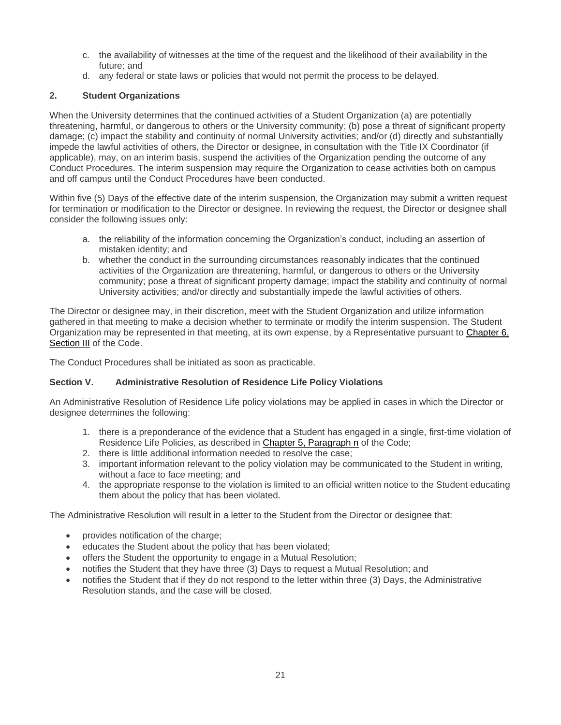- c. the availability of witnesses at the time of the request and the likelihood of their availability in the future; and
- d. any federal or state laws or policies that would not permit the process to be delayed.

# **2. Student Organizations**

When the University determines that the continued activities of a Student Organization (a) are potentially threatening, harmful, or dangerous to others or the University community; (b) pose a threat of significant property damage; (c) impact the stability and continuity of normal University activities; and/or (d) directly and substantially impede the lawful activities of others, the Director or designee, in consultation with the Title IX Coordinator (if applicable), may, on an interim basis, suspend the activities of the Organization pending the outcome of any Conduct Procedures. The interim suspension may require the Organization to cease activities both on campus and off campus until the Conduct Procedures have been conducted.

Within five (5) Days of the effective date of the interim suspension, the Organization may submit a written request for termination or modification to the Director or designee. In reviewing the request, the Director or designee shall consider the following issues only:

- a. the reliability of the information concerning the Organization's conduct, including an assertion of mistaken identity; and
- b. whether the conduct in the surrounding circumstances reasonably indicates that the continued activities of the Organization are threatening, harmful, or dangerous to others or the University community; pose a threat of significant property damage; impact the stability and continuity of normal University activities; and/or directly and substantially impede the lawful activities of others.

The Director or designee may, in their discretion, meet with the Student Organization and utilize information gathered in that meeting to make a decision whether to terminate or modify the interim suspension. The Student Organization may be represented in that meeting, at its own expense, by a Representative pursuant to [Chapter 6,](#page-18-0)  [Section III](#page-18-0) of the Code.

The Conduct Procedures shall be initiated as soon as practicable.

## **Section V. Administrative Resolution of Residence Life Policy Violations**

An Administrative Resolution of Residence Life policy violations may be applied in cases in which the Director or designee determines the following:

- 1. there is a preponderance of the evidence that a Student has engaged in a single, first-time violation of Residence Life Policies, as described in [Chapter 5, Paragraph n](#page-14-1) of the Code;
- 2. there is little additional information needed to resolve the case;
- 3. important information relevant to the policy violation may be communicated to the Student in writing, without a face to face meeting; and
- 4. the appropriate response to the violation is limited to an official written notice to the Student educating them about the policy that has been violated.

The Administrative Resolution will result in a letter to the Student from the Director or designee that:

- provides notification of the charge;
- educates the Student about the policy that has been violated;
- offers the Student the opportunity to engage in a Mutual Resolution;
- notifies the Student that they have three (3) Days to request a Mutual Resolution; and
- notifies the Student that if they do not respond to the letter within three (3) Days, the Administrative Resolution stands, and the case will be closed.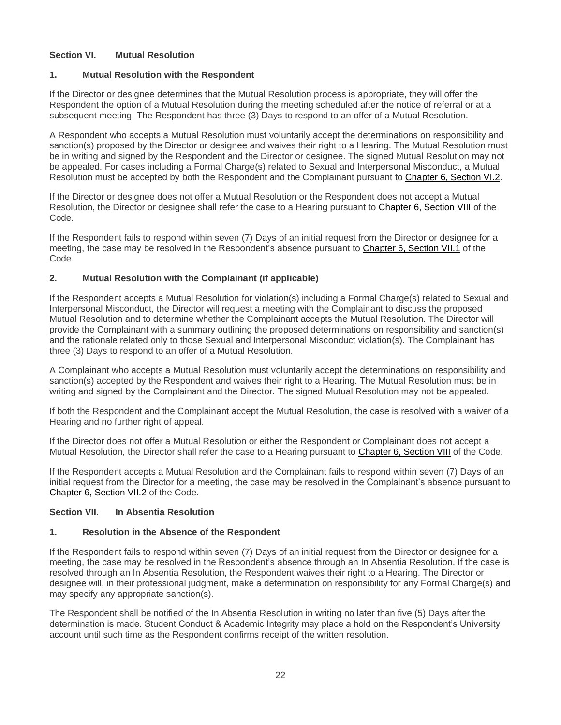# <span id="page-21-1"></span>**Section VI. Mutual Resolution**

#### **1. Mutual Resolution with the Respondent**

If the Director or designee determines that the Mutual Resolution process is appropriate, they will offer the Respondent the option of a Mutual Resolution during the meeting scheduled after the notice of referral or at a subsequent meeting. The Respondent has three (3) Days to respond to an offer of a Mutual Resolution.

A Respondent who accepts a Mutual Resolution must voluntarily accept the determinations on responsibility and sanction(s) proposed by the Director or designee and waives their right to a Hearing. The Mutual Resolution must be in writing and signed by the Respondent and the Director or designee. The signed Mutual Resolution may not be appealed. For cases including a Formal Charge(s) related to Sexual and Interpersonal Misconduct, a Mutual Resolution must be accepted by both the Respondent and the Complainant pursuant to [Chapter 6, Section VI.2.](#page-21-2)

If the Director or designee does not offer a Mutual Resolution or the Respondent does not accept a Mutual Resolution, the Director or designee shall refer the case to a Hearing pursuant to [Chapter 6, Section VIII](#page-22-0) of the Code.

If the Respondent fails to respond within seven (7) Days of an initial request from the Director or designee for a meeting, the case may be resolved in the Respondent's absence pursuant to [Chapter 6, Section VII.1](#page-21-3) of the Code.

# <span id="page-21-2"></span>**2. Mutual Resolution with the Complainant (if applicable)**

If the Respondent accepts a Mutual Resolution for violation(s) including a Formal Charge(s) related to Sexual and Interpersonal Misconduct, the Director will request a meeting with the Complainant to discuss the proposed Mutual Resolution and to determine whether the Complainant accepts the Mutual Resolution. The Director will provide the Complainant with a summary outlining the proposed determinations on responsibility and sanction(s) and the rationale related only to those Sexual and Interpersonal Misconduct violation(s). The Complainant has three (3) Days to respond to an offer of a Mutual Resolution.

A Complainant who accepts a Mutual Resolution must voluntarily accept the determinations on responsibility and sanction(s) accepted by the Respondent and waives their right to a Hearing. The Mutual Resolution must be in writing and signed by the Complainant and the Director. The signed Mutual Resolution may not be appealed.

If both the Respondent and the Complainant accept the Mutual Resolution, the case is resolved with a waiver of a Hearing and no further right of appeal.

If the Director does not offer a Mutual Resolution or either the Respondent or Complainant does not accept a Mutual Resolution, the Director shall refer the case to a Hearing pursuant to [Chapter 6, Section VIII](#page-22-0) of the Code.

<span id="page-21-0"></span>If the Respondent accepts a Mutual Resolution and the Complainant fails to respond within seven (7) Days of an initial request from the Director for a meeting, the case may be resolved in the Complainant's absence pursuant to [Chapter 6, Section VII.2](#page-22-1) of the Code.

## **Section VII. In Absentia Resolution**

## <span id="page-21-3"></span>**1. Resolution in the Absence of the Respondent**

If the Respondent fails to respond within seven (7) Days of an initial request from the Director or designee for a meeting, the case may be resolved in the Respondent's absence through an In Absentia Resolution. If the case is resolved through an In Absentia Resolution, the Respondent waives their right to a Hearing. The Director or designee will, in their professional judgment, make a determination on responsibility for any Formal Charge(s) and may specify any appropriate sanction(s).

The Respondent shall be notified of the In Absentia Resolution in writing no later than five (5) Days after the determination is made. Student Conduct & Academic Integrity may place a hold on the Respondent's University account until such time as the Respondent confirms receipt of the written resolution.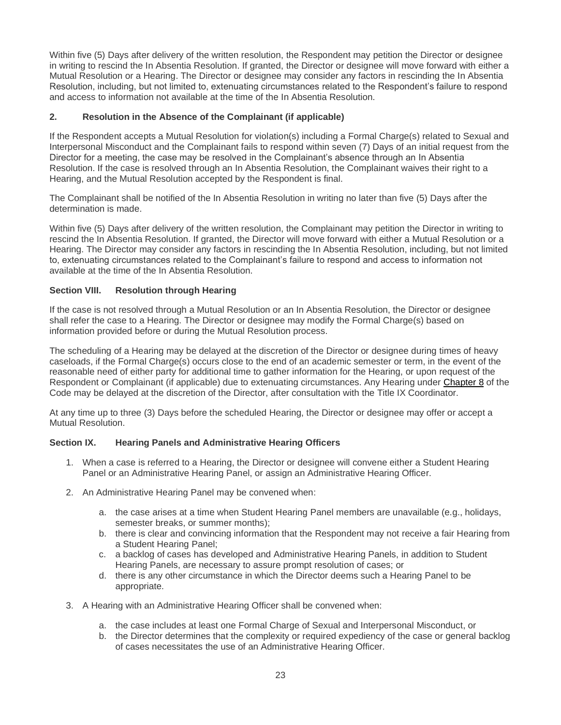Within five (5) Days after delivery of the written resolution, the Respondent may petition the Director or designee in writing to rescind the In Absentia Resolution. If granted, the Director or designee will move forward with either a Mutual Resolution or a Hearing. The Director or designee may consider any factors in rescinding the In Absentia Resolution, including, but not limited to, extenuating circumstances related to the Respondent's failure to respond and access to information not available at the time of the In Absentia Resolution.

## <span id="page-22-1"></span>**2. Resolution in the Absence of the Complainant (if applicable)**

If the Respondent accepts a Mutual Resolution for violation(s) including a Formal Charge(s) related to Sexual and Interpersonal Misconduct and the Complainant fails to respond within seven (7) Days of an initial request from the Director for a meeting, the case may be resolved in the Complainant's absence through an In Absentia Resolution. If the case is resolved through an In Absentia Resolution, the Complainant waives their right to a Hearing, and the Mutual Resolution accepted by the Respondent is final.

The Complainant shall be notified of the In Absentia Resolution in writing no later than five (5) Days after the determination is made.

Within five (5) Days after delivery of the written resolution, the Complainant may petition the Director in writing to rescind the In Absentia Resolution. If granted, the Director will move forward with either a Mutual Resolution or a Hearing. The Director may consider any factors in rescinding the In Absentia Resolution, including, but not limited to, extenuating circumstances related to the Complainant's failure to respond and access to information not available at the time of the In Absentia Resolution.

## <span id="page-22-0"></span>**Section VIII. Resolution through Hearing**

If the case is not resolved through a Mutual Resolution or an In Absentia Resolution, the Director or designee shall refer the case to a Hearing. The Director or designee may modify the Formal Charge(s) based on information provided before or during the Mutual Resolution process.

The scheduling of a Hearing may be delayed at the discretion of the Director or designee during times of heavy caseloads, if the Formal Charge(s) occurs close to the end of an academic semester or term, in the event of the reasonable need of either party for additional time to gather information for the Hearing, or upon request of the Respondent or Complainant (if applicable) due to extenuating circumstances. Any Hearing under [Chapter 8](#page-24-0) of the Code may be delayed at the discretion of the Director, after consultation with the Title IX Coordinator.

At any time up to three (3) Days before the scheduled Hearing, the Director or designee may offer or accept a Mutual Resolution.

#### **Section IX. Hearing Panels and Administrative Hearing Officers**

- 1. When a case is referred to a Hearing, the Director or designee will convene either a Student Hearing Panel or an Administrative Hearing Panel, or assign an Administrative Hearing Officer.
- 2. An Administrative Hearing Panel may be convened when:
	- a. the case arises at a time when Student Hearing Panel members are unavailable (e.g., holidays, semester breaks, or summer months);
	- b. there is clear and convincing information that the Respondent may not receive a fair Hearing from a Student Hearing Panel;
	- c. a backlog of cases has developed and Administrative Hearing Panels, in addition to Student Hearing Panels, are necessary to assure prompt resolution of cases; or
	- d. there is any other circumstance in which the Director deems such a Hearing Panel to be appropriate.
- 3. A Hearing with an Administrative Hearing Officer shall be convened when:
	- a. the case includes at least one Formal Charge of Sexual and Interpersonal Misconduct, or
	- b. the Director determines that the complexity or required expediency of the case or general backlog of cases necessitates the use of an Administrative Hearing Officer.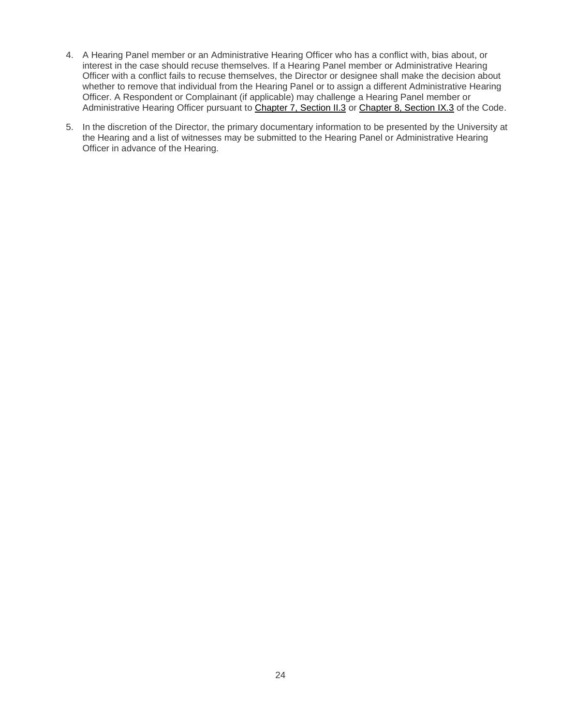- 4. A Hearing Panel member or an Administrative Hearing Officer who has a conflict with, bias about, or interest in the case should recuse themselves. If a Hearing Panel member or Administrative Hearing Officer with a conflict fails to recuse themselves, the Director or designee shall make the decision about whether to remove that individual from the Hearing Panel or to assign a different Administrative Hearing Officer. A Respondent or Complainant (if applicable) may challenge a Hearing Panel member or Administrative Hearing Officer pursuant to [Chapter 7, Section II.3](#page-24-0) or [Chapter 8, Section IX.3](#page-32-0) of the Code.
- <span id="page-23-0"></span>5. In the discretion of the Director, the primary documentary information to be presented by the University at the Hearing and a list of witnesses may be submitted to the Hearing Panel or Administrative Hearing Officer in advance of the Hearing.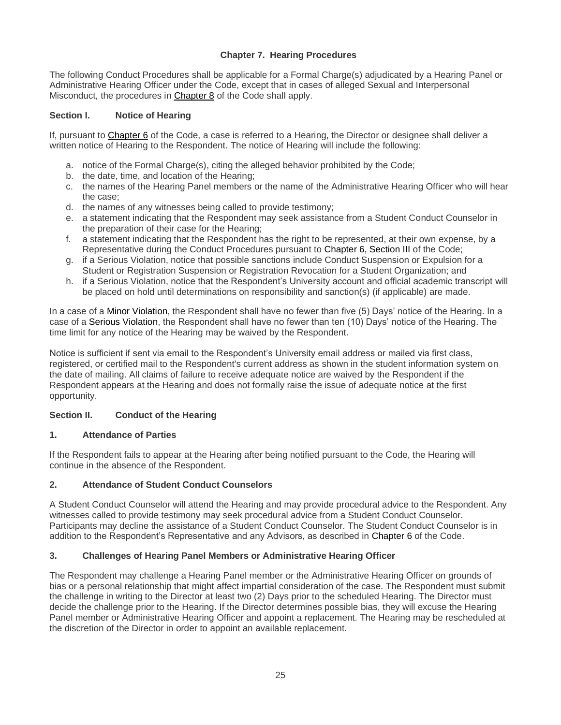# **Chapter 7. Hearing Procedures**

The following Conduct Procedures shall be applicable for a Formal Charge(s) adjudicated by a Hearing Panel or Administrative Hearing Officer under the Code, except that in cases of alleged Sexual and Interpersonal Misconduct, the procedures in [Chapter 8](#page-24-0) of the Code shall apply.

#### **Section I. Notice of Hearing**

If, pursuant to [Chapter 6](#page-16-0) of the Code, a case is referred to a Hearing, the Director or designee shall deliver a written notice of Hearing to the Respondent. The notice of Hearing will include the following:

- a. notice of the Formal Charge(s), citing the alleged behavior prohibited by the Code;
- b. the date, time, and location of the Hearing;
- c. the names of the Hearing Panel members or the name of the Administrative Hearing Officer who will hear the case;
- d. the names of any witnesses being called to provide testimony;
- e. a statement indicating that the Respondent may seek assistance from a Student Conduct Counselor in the preparation of their case for the Hearing;
- f. a statement indicating that the Respondent has the right to be represented, at their own expense, by a Representative during the Conduct Procedures pursuant to [Chapter 6, Section III](#page-18-0) of the Code;
- g. if a Serious Violation, notice that possible sanctions include Conduct Suspension or Expulsion for a Student or Registration Suspension or Registration Revocation for a Student Organization; and
- h. if a Serious Violation, notice that the Respondent's University account and official academic transcript will be placed on hold until determinations on responsibility and sanction(s) (if applicable) are made.

In a case of a Minor Violation, the Respondent shall have no fewer than five (5) Days' notice of the Hearing. In a case of a Serious Violation, the Respondent shall have no fewer than ten (10) Days' notice of the Hearing. The time limit for any notice of the Hearing may be waived by the Respondent.

Notice is sufficient if sent via email to the Respondent's University email address or mailed via first class, registered, or certified mail to the Respondent's current address as shown in the student information system on the date of mailing. All claims of failure to receive adequate notice are waived by the Respondent if the Respondent appears at the Hearing and does not formally raise the issue of adequate notice at the first opportunity.

## <span id="page-24-0"></span>**Section II. Conduct of the Hearing**

#### **1. Attendance of Parties**

If the Respondent fails to appear at the Hearing after being notified pursuant to the Code, the Hearing will continue in the absence of the Respondent.

#### **2. Attendance of Student Conduct Counselors**

A Student Conduct Counselor will attend the Hearing and may provide procedural advice to the Respondent. Any witnesses called to provide testimony may seek procedural advice from a Student Conduct Counselor. Participants may decline the assistance of a Student Conduct Counselor. The Student Conduct Counselor is in addition to the Respondent's Representative and any Advisors, as described in [Chapter 6](#page-16-0) of the Code.

#### **3. Challenges of Hearing Panel Members or Administrative Hearing Officer**

The Respondent may challenge a Hearing Panel member or the Administrative Hearing Officer on grounds of bias or a personal relationship that might affect impartial consideration of the case. The Respondent must submit the challenge in writing to the Director at least two (2) Days prior to the scheduled Hearing. The Director must decide the challenge prior to the Hearing. If the Director determines possible bias, they will excuse the Hearing Panel member or Administrative Hearing Officer and appoint a replacement. The Hearing may be rescheduled at the discretion of the Director in order to appoint an available replacement.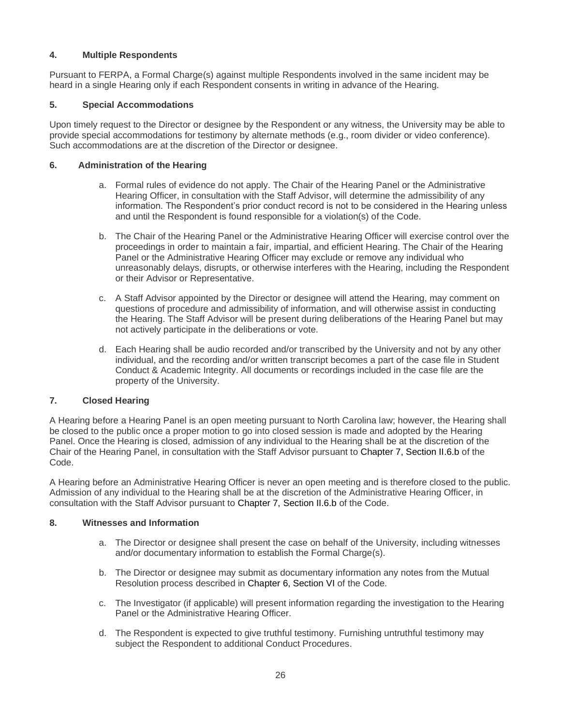# **4. Multiple Respondents**

Pursuant to FERPA, a Formal Charge(s) against multiple Respondents involved in the same incident may be heard in a single Hearing only if each Respondent consents in writing in advance of the Hearing.

## **5. Special Accommodations**

Upon timely request to the Director or designee by the Respondent or any witness, the University may be able to provide special accommodations for testimony by alternate methods (e.g., room divider or video conference). Such accommodations are at the discretion of the Director or designee.

## **6. Administration of the Hearing**

- a. Formal rules of evidence do not apply. The Chair of the Hearing Panel or the Administrative Hearing Officer, in consultation with the Staff Advisor, will determine the admissibility of any information. The Respondent's prior conduct record is not to be considered in the Hearing unless and until the Respondent is found responsible for a violation(s) of the Code.
- b. The Chair of the Hearing Panel or the Administrative Hearing Officer will exercise control over the proceedings in order to maintain a fair, impartial, and efficient Hearing. The Chair of the Hearing Panel or the Administrative Hearing Officer may exclude or remove any individual who unreasonably delays, disrupts, or otherwise interferes with the Hearing, including the Respondent or their Advisor or Representative.
- c. A Staff Advisor appointed by the Director or designee will attend the Hearing, may comment on questions of procedure and admissibility of information, and will otherwise assist in conducting the Hearing. The Staff Advisor will be present during deliberations of the Hearing Panel but may not actively participate in the deliberations or vote.
- d. Each Hearing shall be audio recorded and/or transcribed by the University and not by any other individual, and the recording and/or written transcript becomes a part of the case file in Student Conduct & Academic Integrity. All documents or recordings included in the case file are the property of the University.

## **7. Closed Hearing**

A Hearing before a Hearing Panel is an open meeting pursuant to North Carolina law; however, the Hearing shall be closed to the public once a proper motion to go into closed session is made and adopted by the Hearing Panel. Once the Hearing is closed, admission of any individual to the Hearing shall be at the discretion of the Chair of the Hearing Panel, in consultation with the Staff Advisor pursuant to [Chapter 7, Section II.6.b](#page-24-0) of the Code.

A Hearing before an Administrative Hearing Officer is never an open meeting and is therefore closed to the public. Admission of any individual to the Hearing shall be at the discretion of the Administrative Hearing Officer, in consultation with the Staff Advisor pursuant to [Chapter 7, Section II.6.b](#page-24-0) of the Code.

## **8. Witnesses and Information**

- a. The Director or designee shall present the case on behalf of the University, including witnesses and/or documentary information to establish the Formal Charge(s).
- b. The Director or designee may submit as documentary information any notes from the Mutual Resolution process described in [Chapter 6, Section VI](#page-21-1) of the Code.
- c. The Investigator (if applicable) will present information regarding the investigation to the Hearing Panel or the Administrative Hearing Officer.
- d. The Respondent is expected to give truthful testimony. Furnishing untruthful testimony may subject the Respondent to additional Conduct Procedures.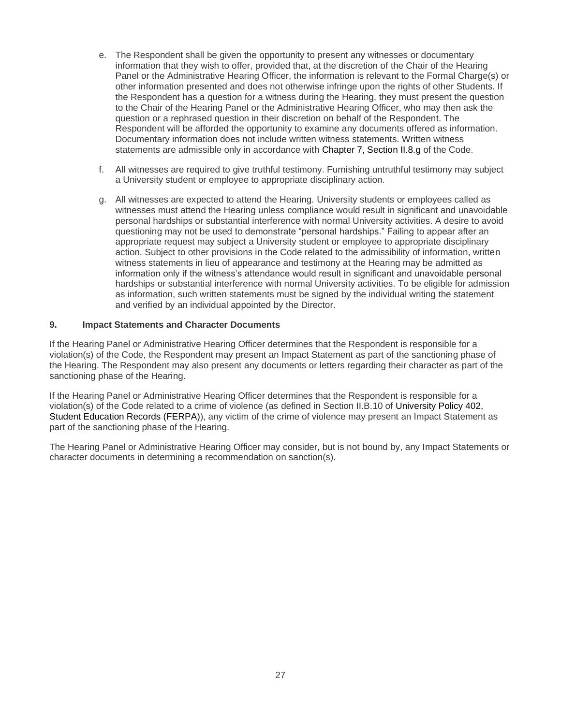- e. The Respondent shall be given the opportunity to present any witnesses or documentary information that they wish to offer, provided that, at the discretion of the Chair of the Hearing Panel or the Administrative Hearing Officer, the information is relevant to the Formal Charge(s) or other information presented and does not otherwise infringe upon the rights of other Students. If the Respondent has a question for a witness during the Hearing, they must present the question to the Chair of the Hearing Panel or the Administrative Hearing Officer, who may then ask the question or a rephrased question in their discretion on behalf of the Respondent. The Respondent will be afforded the opportunity to examine any documents offered as information. Documentary information does not include written witness statements. Written witness statements are admissible only in accordance with [Chapter 7, Section II.8.g](#page-24-0) of the Code.
- f. All witnesses are required to give truthful testimony. Furnishing untruthful testimony may subject a University student or employee to appropriate disciplinary action.
- g. All witnesses are expected to attend the Hearing. University students or employees called as witnesses must attend the Hearing unless compliance would result in significant and unavoidable personal hardships or substantial interference with normal University activities. A desire to avoid questioning may not be used to demonstrate "personal hardships." Failing to appear after an appropriate request may subject a University student or employee to appropriate disciplinary action. Subject to other provisions in the Code related to the admissibility of information, written witness statements in lieu of appearance and testimony at the Hearing may be admitted as information only if the witness's attendance would result in significant and unavoidable personal hardships or substantial interference with normal University activities. To be eligible for admission as information, such written statements must be signed by the individual writing the statement and verified by an individual appointed by the Director.

#### **9. Impact Statements and Character Documents**

If the Hearing Panel or Administrative Hearing Officer determines that the Respondent is responsible for a violation(s) of the Code, the Respondent may present an Impact Statement as part of the sanctioning phase of the Hearing. The Respondent may also present any documents or letters regarding their character as part of the sanctioning phase of the Hearing.

If the Hearing Panel or Administrative Hearing Officer determines that the Respondent is responsible for a violation(s) of the Code related to a crime of violence (as defined in Section II.B.10 of [University Policy 402,](https://legal.uncc.edu/policies/up-402)  [Student Education Records \(FERPA\)\)](https://legal.uncc.edu/policies/up-402), any victim of the crime of violence may present an Impact Statement as part of the sanctioning phase of the Hearing.

The Hearing Panel or Administrative Hearing Officer may consider, but is not bound by, any Impact Statements or character documents in determining a recommendation on sanction(s).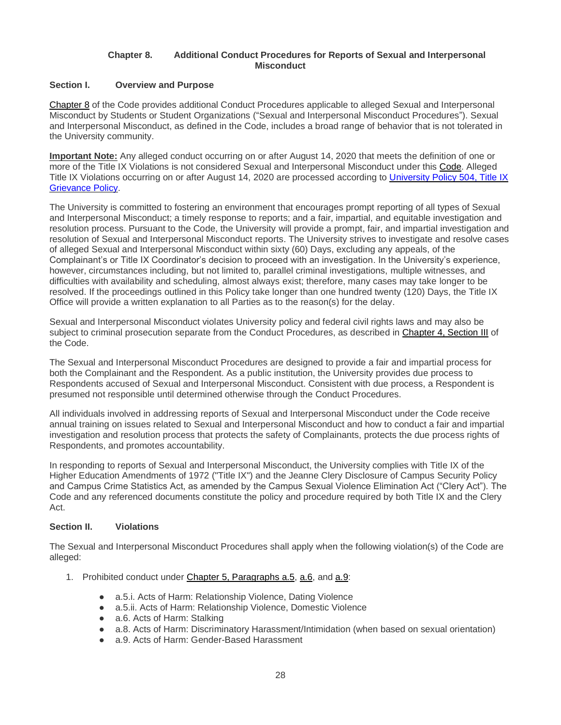#### **Chapter 8. Additional Conduct Procedures for Reports of Sexual and Interpersonal Misconduct**

## **Section I. Overview and Purpose**

[Chapter 8](#page-24-0) of the Code provides additional Conduct Procedures applicable to alleged Sexual and Interpersonal Misconduct by Students or Student Organizations ("Sexual and Interpersonal Misconduct Procedures"). Sexual and Interpersonal Misconduct, as defined in the Code, includes a broad range of behavior that is not tolerated in the University community.

**Important Note:** Any alleged conduct occurring on or after August 14, 2020 that meets the definition of one or more of the Title IX Violations is not considered Sexual and Interpersonal Misconduct under this Code. Alleged Title IX Violations occurring on or after August 14, 2020 are processed according to [University Policy 504, Title IX](https://legal.uncc.edu/policies/up-504)  [Grievance Policy.](https://legal.uncc.edu/policies/up-504)

The University is committed to fostering an environment that encourages prompt reporting of all types of Sexual and Interpersonal Misconduct; a timely response to reports; and a fair, impartial, and equitable investigation and resolution process. Pursuant to the Code, the University will provide a prompt, fair, and impartial investigation and resolution of Sexual and Interpersonal Misconduct reports. The University strives to investigate and resolve cases of alleged Sexual and Interpersonal Misconduct within sixty (60) Days, excluding any appeals, of the Complainant's or Title IX Coordinator's decision to proceed with an investigation. In the University's experience, however, circumstances including, but not limited to, parallel criminal investigations, multiple witnesses, and difficulties with availability and scheduling, almost always exist; therefore, many cases may take longer to be resolved. If the proceedings outlined in this Policy take longer than one hundred twenty (120) Days, the Title IX Office will provide a written explanation to all Parties as to the reason(s) for the delay.

Sexual and Interpersonal Misconduct violates University policy and federal civil rights laws and may also be subject to criminal prosecution separate from the Conduct Procedures, as described in Chapter 4, Section III of the Code.

The Sexual and Interpersonal Misconduct Procedures are designed to provide a fair and impartial process for both the Complainant and the Respondent. As a public institution, the University provides due process to Respondents accused of Sexual and Interpersonal Misconduct. Consistent with due process, a Respondent is presumed not responsible until determined otherwise through the Conduct Procedures.

All individuals involved in addressing reports of Sexual and Interpersonal Misconduct under the Code receive annual training on issues related to Sexual and Interpersonal Misconduct and how to conduct a fair and impartial investigation and resolution process that protects the safety of Complainants, protects the due process rights of Respondents, and promotes accountability.

In responding to reports of Sexual and Interpersonal Misconduct, the University complies with Title IX of the Higher Education Amendments of 1972 ("Title IX") and the Jeanne Clery Disclosure of Campus Security Policy and Campus Crime Statistics Act, as amended by the Campus Sexual Violence Elimination Act ("Clery Act"). The Code and any referenced documents constitute the policy and procedure required by both Title IX and the Clery Act.

## **Section II. Violations**

The Sexual and Interpersonal Misconduct Procedures shall apply when the following violation(s) of the Code are alleged:

- 1. Prohibited conduct under [Chapter 5, Paragraphs a.5,](#page-12-4) [a.6,](#page-12-5) and [a.9:](#page-12-2)
	- a.5.i. Acts of Harm: Relationship Violence, Dating Violence
	- a.5.ii. Acts of Harm: Relationship Violence, Domestic Violence
	- a.6. Acts of Harm: Stalking
	- a.8. Acts of Harm: Discriminatory Harassment/Intimidation (when based on sexual orientation)
	- a.9. Acts of Harm: Gender-Based Harassment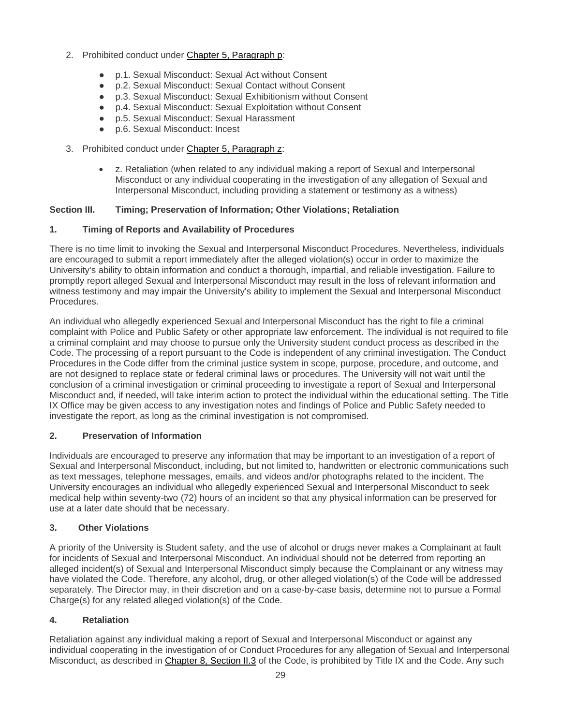- 2. Prohibited conduct under [Chapter 5, Paragraph p:](#page-15-0)
	- p.1. Sexual Misconduct: Sexual Act without Consent
	- p.2. Sexual Misconduct: Sexual Contact without Consent
	- p.3. Sexual Misconduct: Sexual Exhibitionism without Consent
	- p.4. Sexual Misconduct: Sexual Exploitation without Consent
	- p.5. Sexual Misconduct: Sexual Harassment
	- p.6. Sexual Misconduct: Incest
- <span id="page-28-0"></span>3. Prohibited conduct under [Chapter 5, Paragraph z:](#page-16-1)
	- z. Retaliation (when related to any individual making a report of Sexual and Interpersonal Misconduct or any individual cooperating in the investigation of any allegation of Sexual and Interpersonal Misconduct, including providing a statement or testimony as a witness)

## **Section III. Timing; Preservation of Information; Other Violations; Retaliation**

# **1. Timing of Reports and Availability of Procedures**

There is no time limit to invoking the Sexual and Interpersonal Misconduct Procedures. Nevertheless, individuals are encouraged to submit a report immediately after the alleged violation(s) occur in order to maximize the University's ability to obtain information and conduct a thorough, impartial, and reliable investigation. Failure to promptly report alleged Sexual and Interpersonal Misconduct may result in the loss of relevant information and witness testimony and may impair the University's ability to implement the Sexual and Interpersonal Misconduct Procedures.

An individual who allegedly experienced Sexual and Interpersonal Misconduct has the right to file a criminal complaint with Police and Public Safety or other appropriate law enforcement. The individual is not required to file a criminal complaint and may choose to pursue only the University student conduct process as described in the Code. The processing of a report pursuant to the Code is independent of any criminal investigation. The Conduct Procedures in the Code differ from the criminal justice system in scope, purpose, procedure, and outcome, and are not designed to replace state or federal criminal laws or procedures. The University will not wait until the conclusion of a criminal investigation or criminal proceeding to investigate a report of Sexual and Interpersonal Misconduct and, if needed, will take interim action to protect the individual within the educational setting. The Title IX Office may be given access to any investigation notes and findings of Police and Public Safety needed to investigate the report, as long as the criminal investigation is not compromised.

## <span id="page-28-1"></span>**2. Preservation of Information**

Individuals are encouraged to preserve any information that may be important to an investigation of a report of Sexual and Interpersonal Misconduct, including, but not limited to, handwritten or electronic communications such as text messages, telephone messages, emails, and videos and/or photographs related to the incident. The University encourages an individual who allegedly experienced Sexual and Interpersonal Misconduct to seek medical help within seventy-two (72) hours of an incident so that any physical information can be preserved for use at a later date should that be necessary.

## **3. Other Violations**

A priority of the University is Student safety, and the use of alcohol or drugs never makes a Complainant at fault for incidents of Sexual and Interpersonal Misconduct. An individual should not be deterred from reporting an alleged incident(s) of Sexual and Interpersonal Misconduct simply because the Complainant or any witness may have violated the Code. Therefore, any alcohol, drug, or other alleged violation(s) of the Code will be addressed separately. The Director may, in their discretion and on a case-by-case basis, determine not to pursue a Formal Charge(s) for any related alleged violation(s) of the Code.

# **4. Retaliation**

Retaliation against any individual making a report of Sexual and Interpersonal Misconduct or against any individual cooperating in the investigation of or Conduct Procedures for any allegation of Sexual and Interpersonal Misconduct, as described in [Chapter 8, Section II.3](#page-28-0) of the Code, is prohibited by Title IX and the Code. Any such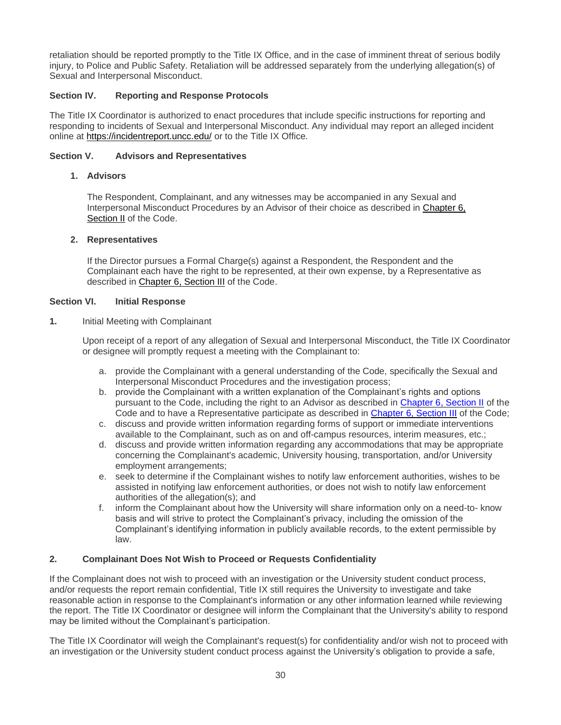retaliation should be reported promptly to the Title IX Office, and in the case of imminent threat of serious bodily injury, to Police and Public Safety. Retaliation will be addressed separately from the underlying allegation(s) of Sexual and Interpersonal Misconduct.

#### **Section IV. Reporting and Response Protocols**

The Title IX Coordinator is authorized to enact procedures that include specific instructions for reporting and responding to incidents of Sexual and Interpersonal Misconduct. Any individual may report an alleged incident online at<https://incidentreport.uncc.edu/> or to the Title IX Office.

#### **Section V. Advisors and Representatives**

#### **1. Advisors**

The Respondent, Complainant, and any witnesses may be accompanied in any Sexual and Interpersonal Misconduct Procedures by an Advisor of their choice as described in Chapter 6, Section II of the Code.

#### **2. Representatives**

If the Director pursues a Formal Charge(s) against a Respondent, the Respondent and the Complainant each have the right to be represented, at their own expense, by a Representative as described in Chapter 6, Section III of the Code.

#### **Section VI. Initial Response**

**1.** Initial Meeting with Complainant

Upon receipt of a report of any allegation of Sexual and Interpersonal Misconduct, the Title IX Coordinator or designee will promptly request a meeting with the Complainant to:

- a. provide the Complainant with a general understanding of the Code, specifically the Sexual and Interpersonal Misconduct Procedures and the investigation process;
- b. provide the Complainant with a written explanation of the Complainant's rights and options pursuant to the Code, including the right to an Advisor as described in Chapter 6, Section II of the Code and to have a Representative participate as described in Chapter 6, Section III of the Code;
- c. discuss and provide written information regarding forms of support or immediate interventions available to the Complainant, such as on and off-campus resources, interim measures, etc.;
- d. discuss and provide written information regarding any accommodations that may be appropriate concerning the Complainant's academic, University housing, transportation, and/or University employment arrangements;
- e. seek to determine if the Complainant wishes to notify law enforcement authorities, wishes to be assisted in notifying law enforcement authorities, or does not wish to notify law enforcement authorities of the allegation(s); and
- f. inform the Complainant about how the University will share information only on a need-to- know basis and will strive to protect the Complainant's privacy, including the omission of the Complainant's identifying information in publicly available records, to the extent permissible by law.

## **2. Complainant Does Not Wish to Proceed or Requests Confidentiality**

If the Complainant does not wish to proceed with an investigation or the University student conduct process, and/or requests the report remain confidential, Title IX still requires the University to investigate and take reasonable action in response to the Complainant's information or any other information learned while reviewing the report. The Title IX Coordinator or designee will inform the Complainant that the University's ability to respond may be limited without the Complainant's participation.

The Title IX Coordinator will weigh the Complainant's request(s) for confidentiality and/or wish not to proceed with an investigation or the University student conduct process against the University's obligation to provide a safe,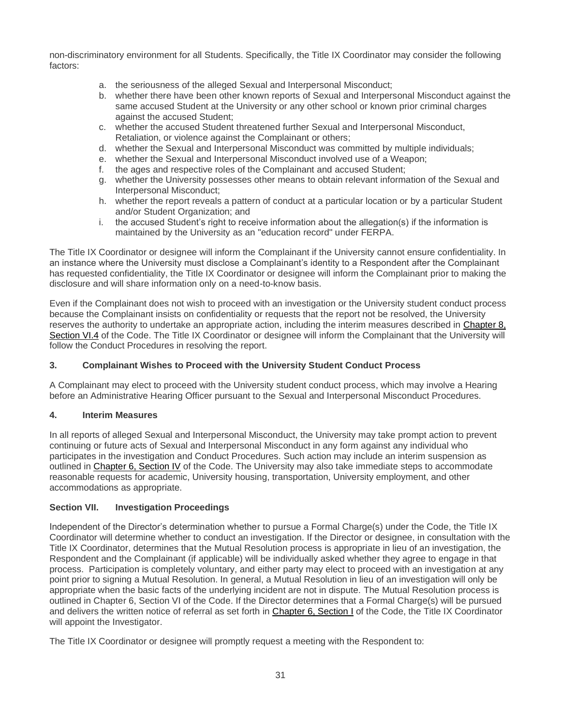non-discriminatory environment for all Students. Specifically, the Title IX Coordinator may consider the following factors:

- a. the seriousness of the alleged Sexual and Interpersonal Misconduct;
- b. whether there have been other known reports of Sexual and Interpersonal Misconduct against the same accused Student at the University or any other school or known prior criminal charges against the accused Student;
- c. whether the accused Student threatened further Sexual and Interpersonal Misconduct, Retaliation, or violence against the Complainant or others;
- d. whether the Sexual and Interpersonal Misconduct was committed by multiple individuals;
- e. whether the Sexual and Interpersonal Misconduct involved use of a Weapon;
- f. the ages and respective roles of the Complainant and accused Student;
- g. whether the University possesses other means to obtain relevant information of the Sexual and Interpersonal Misconduct;
- h. whether the report reveals a pattern of conduct at a particular location or by a particular Student and/or Student Organization; and
- i. the accused Student's right to receive information about the allegation(s) if the information is maintained by the University as an "education record" under FERPA.

The Title IX Coordinator or designee will inform the Complainant if the University cannot ensure confidentiality. In an instance where the University must disclose a Complainant's identity to a Respondent after the Complainant has requested confidentiality, the Title IX Coordinator or designee will inform the Complainant prior to making the disclosure and will share information only on a need-to-know basis.

Even if the Complainant does not wish to proceed with an investigation or the University student conduct process because the Complainant insists on confidentiality or requests that the report not be resolved, the University reserves the authority to undertake an appropriate action, including the interim measures described in Chapter 8, Section VI.4 of the Code. The Title IX Coordinator or designee will inform the Complainant that the University will follow the Conduct Procedures in resolving the report.

#### **3. Complainant Wishes to Proceed with the University Student Conduct Process**

A Complainant may elect to proceed with the University student conduct process, which may involve a Hearing before an Administrative Hearing Officer pursuant to the Sexual and Interpersonal Misconduct Procedures.

#### **4. Interim Measures**

In all reports of alleged Sexual and Interpersonal Misconduct, the University may take prompt action to prevent continuing or future acts of Sexual and Interpersonal Misconduct in any form against any individual who participates in the investigation and Conduct Procedures. Such action may include an interim suspension as outlined in [Chapter 6, Section IV](#page-19-0) of the Code. The University may also take immediate steps to accommodate reasonable requests for academic, University housing, transportation, University employment, and other accommodations as appropriate.

#### **Section VII. Investigation Proceedings**

Independent of the Director's determination whether to pursue a Formal Charge(s) under the Code, the Title IX Coordinator will determine whether to conduct an investigation. If the Director or designee, in consultation with the Title IX Coordinator, determines that the Mutual Resolution process is appropriate in lieu of an investigation, the Respondent and the Complainant (if applicable) will be individually asked whether they agree to engage in that process. Participation is completely voluntary, and either party may elect to proceed with an investigation at any point prior to signing a Mutual Resolution. In general, a Mutual Resolution in lieu of an investigation will only be appropriate when the basic facts of the underlying incident are not in dispute. The Mutual Resolution process is outlined in Chapter 6, Section VI of the Code. If the Director determines that a Formal Charge(s) will be pursued and delivers the written notice of referral as set forth in [Chapter 6, Section I](#page-17-1) of the Code, the Title IX Coordinator will appoint the Investigator.

The Title IX Coordinator or designee will promptly request a meeting with the Respondent to: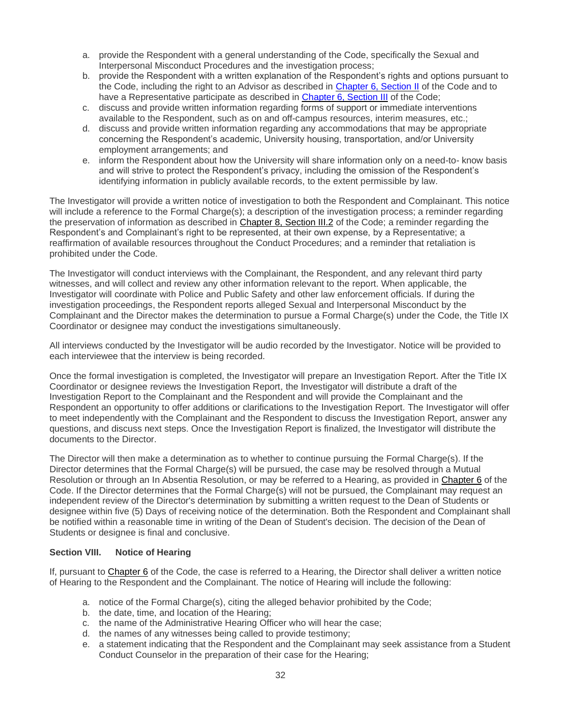- a. provide the Respondent with a general understanding of the Code, specifically the Sexual and Interpersonal Misconduct Procedures and the investigation process;
- b. provide the Respondent with a written explanation of the Respondent's rights and options pursuant to the Code, including the right to an Advisor as described in Chapter 6, Section II of the Code and to have a Representative participate as described in Chapter 6, Section III of the Code;
- c. discuss and provide written information regarding forms of support or immediate interventions available to the Respondent, such as on and off-campus resources, interim measures, etc.;
- d. discuss and provide written information regarding any accommodations that may be appropriate concerning the Respondent's academic, University housing, transportation, and/or University employment arrangements; and
- e. inform the Respondent about how the University will share information only on a need-to- know basis and will strive to protect the Respondent's privacy, including the omission of the Respondent's identifying information in publicly available records, to the extent permissible by law.

The Investigator will provide a written notice of investigation to both the Respondent and Complainant. This notice will include a reference to the Formal Charge(s); a description of the investigation process; a reminder regarding the preservation of information as described in [Chapter 8, Section III.2](#page-28-1) of the Code; a reminder regarding the Respondent's and Complainant's right to be represented, at their own expense, by a Representative; a reaffirmation of available resources throughout the Conduct Procedures; and a reminder that retaliation is prohibited under the Code.

The Investigator will conduct interviews with the Complainant, the Respondent, and any relevant third party witnesses, and will collect and review any other information relevant to the report. When applicable, the Investigator will coordinate with Police and Public Safety and other law enforcement officials. If during the investigation proceedings, the Respondent reports alleged Sexual and Interpersonal Misconduct by the Complainant and the Director makes the determination to pursue a Formal Charge(s) under the Code, the Title IX Coordinator or designee may conduct the investigations simultaneously.

All interviews conducted by the Investigator will be audio recorded by the Investigator. Notice will be provided to each interviewee that the interview is being recorded.

Once the formal investigation is completed, the Investigator will prepare an Investigation Report. After the Title IX Coordinator or designee reviews the Investigation Report, the Investigator will distribute a draft of the Investigation Report to the Complainant and the Respondent and will provide the Complainant and the Respondent an opportunity to offer additions or clarifications to the Investigation Report. The Investigator will offer to meet independently with the Complainant and the Respondent to discuss the Investigation Report, answer any questions, and discuss next steps. Once the Investigation Report is finalized, the Investigator will distribute the documents to the Director.

The Director will then make a determination as to whether to continue pursuing the Formal Charge(s). If the Director determines that the Formal Charge(s) will be pursued, the case may be resolved through a Mutual Resolution or through an In Absentia Resolution, or may be referred to a Hearing, as provided in [Chapter 6](#page-16-0) of the Code. If the Director determines that the Formal Charge(s) will not be pursued, the Complainant may request an independent review of the Director's determination by submitting a written request to the Dean of Students or designee within five (5) Days of receiving notice of the determination. Both the Respondent and Complainant shall be notified within a reasonable time in writing of the Dean of Student's decision. The decision of the Dean of Students or designee is final and conclusive.

## **Section VIII. Notice of Hearing**

If, pursuant to [Chapter 6](#page-16-0) of the Code, the case is referred to a Hearing, the Director shall deliver a written notice of Hearing to the Respondent and the Complainant. The notice of Hearing will include the following:

- a. notice of the Formal Charge(s), citing the alleged behavior prohibited by the Code;
- b. the date, time, and location of the Hearing;
- c. the name of the Administrative Hearing Officer who will hear the case;
- d. the names of any witnesses being called to provide testimony;
- e. a statement indicating that the Respondent and the Complainant may seek assistance from a Student Conduct Counselor in the preparation of their case for the Hearing;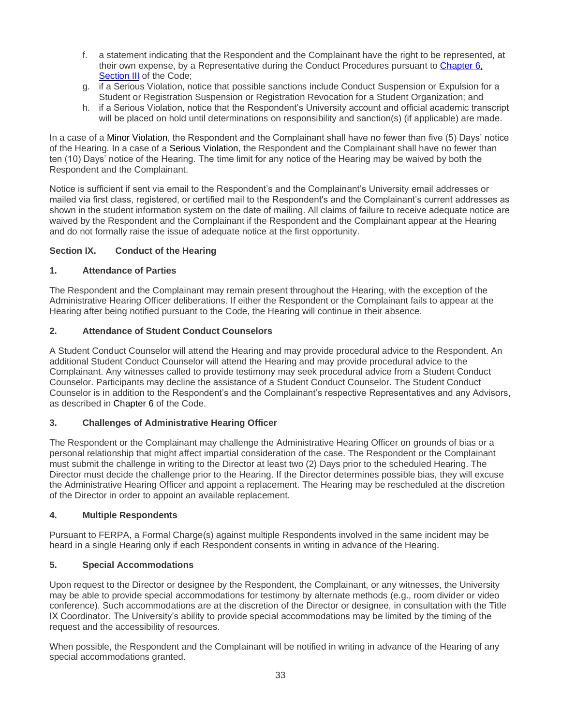- f. a statement indicating that the Respondent and the Complainant have the right to be represented, at their own expense, by a Representative during the Conduct Procedures pursuant to Chapter 6, Section III of the Code;
- g. if a Serious Violation, notice that possible sanctions include Conduct Suspension or Expulsion for a Student or Registration Suspension or Registration Revocation for a Student Organization; and
- h. if a Serious Violation, notice that the Respondent's University account and official academic transcript will be placed on hold until determinations on responsibility and sanction(s) (if applicable) are made.

In a case of a Minor Violation, the Respondent and the Complainant shall have no fewer than five (5) Days' notice of the Hearing. In a case of a Serious Violation, the Respondent and the Complainant shall have no fewer than ten (10) Days' notice of the Hearing. The time limit for any notice of the Hearing may be waived by both the Respondent and the Complainant.

Notice is sufficient if sent via email to the Respondent's and the Complainant's University email addresses or mailed via first class, registered, or certified mail to the Respondent's and the Complainant's current addresses as shown in the student information system on the date of mailing. All claims of failure to receive adequate notice are waived by the Respondent and the Complainant if the Respondent and the Complainant appear at the Hearing and do not formally raise the issue of adequate notice at the first opportunity.

## <span id="page-32-0"></span>**Section IX. Conduct of the Hearing**

## **1. Attendance of Parties**

The Respondent and the Complainant may remain present throughout the Hearing, with the exception of the Administrative Hearing Officer deliberations. If either the Respondent or the Complainant fails to appear at the Hearing after being notified pursuant to the Code, the Hearing will continue in their absence.

# **2. Attendance of Student Conduct Counselors**

A Student Conduct Counselor will attend the Hearing and may provide procedural advice to the Respondent. An additional Student Conduct Counselor will attend the Hearing and may provide procedural advice to the Complainant. Any witnesses called to provide testimony may seek procedural advice from a Student Conduct Counselor. Participants may decline the assistance of a Student Conduct Counselor. The Student Conduct Counselor is in addition to the Respondent's and the Complainant's respective Representatives and any Advisors, as described in [Chapter 6](#page-16-0) of the Code.

## **3. Challenges of Administrative Hearing Officer**

The Respondent or the Complainant may challenge the Administrative Hearing Officer on grounds of bias or a personal relationship that might affect impartial consideration of the case. The Respondent or the Complainant must submit the challenge in writing to the Director at least two (2) Days prior to the scheduled Hearing. The Director must decide the challenge prior to the Hearing. If the Director determines possible bias, they will excuse the Administrative Hearing Officer and appoint a replacement. The Hearing may be rescheduled at the discretion of the Director in order to appoint an available replacement.

## **4. Multiple Respondents**

Pursuant to FERPA, a Formal Charge(s) against multiple Respondents involved in the same incident may be heard in a single Hearing only if each Respondent consents in writing in advance of the Hearing.

## **5. Special Accommodations**

Upon request to the Director or designee by the Respondent, the Complainant, or any witnesses, the University may be able to provide special accommodations for testimony by alternate methods (e.g., room divider or video conference). Such accommodations are at the discretion of the Director or designee, in consultation with the Title IX Coordinator. The University's ability to provide special accommodations may be limited by the timing of the request and the accessibility of resources.

When possible, the Respondent and the Complainant will be notified in writing in advance of the Hearing of any special accommodations granted.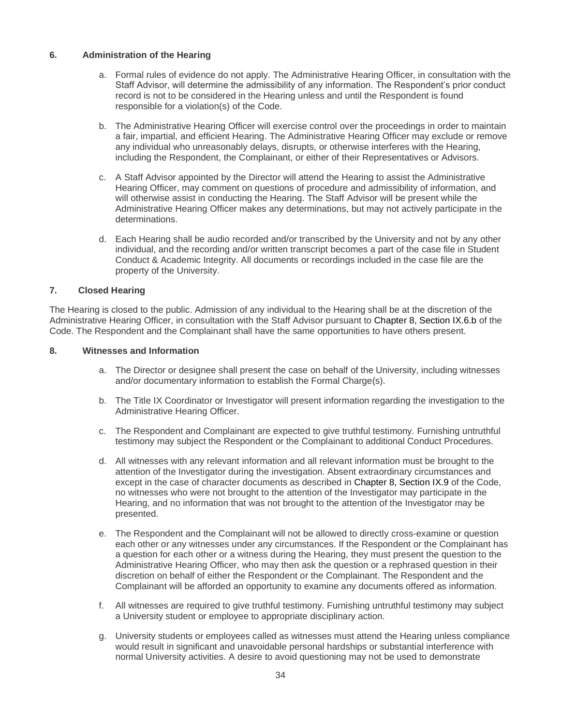#### **6. Administration of the Hearing**

- a. Formal rules of evidence do not apply. The Administrative Hearing Officer, in consultation with the Staff Advisor, will determine the admissibility of any information. The Respondent's prior conduct record is not to be considered in the Hearing unless and until the Respondent is found responsible for a violation(s) of the Code.
- b. The Administrative Hearing Officer will exercise control over the proceedings in order to maintain a fair, impartial, and efficient Hearing. The Administrative Hearing Officer may exclude or remove any individual who unreasonably delays, disrupts, or otherwise interferes with the Hearing, including the Respondent, the Complainant, or either of their Representatives or Advisors.
- c. A Staff Advisor appointed by the Director will attend the Hearing to assist the Administrative Hearing Officer, may comment on questions of procedure and admissibility of information, and will otherwise assist in conducting the Hearing. The Staff Advisor will be present while the Administrative Hearing Officer makes any determinations, but may not actively participate in the determinations.
- d. Each Hearing shall be audio recorded and/or transcribed by the University and not by any other individual, and the recording and/or written transcript becomes a part of the case file in Student Conduct & Academic Integrity. All documents or recordings included in the case file are the property of the University.

#### **7. Closed Hearing**

The Hearing is closed to the public. Admission of any individual to the Hearing shall be at the discretion of the Administrative Hearing Officer, in consultation with the Staff Advisor pursuant to [Chapter 8, Section IX.6.b](#page-32-0) of the Code. The Respondent and the Complainant shall have the same opportunities to have others present.

#### **8. Witnesses and Information**

- a. The Director or designee shall present the case on behalf of the University, including witnesses and/or documentary information to establish the Formal Charge(s).
- b. The Title IX Coordinator or Investigator will present information regarding the investigation to the Administrative Hearing Officer.
- c. The Respondent and Complainant are expected to give truthful testimony. Furnishing untruthful testimony may subject the Respondent or the Complainant to additional Conduct Procedures.
- d. All witnesses with any relevant information and all relevant information must be brought to the attention of the Investigator during the investigation. Absent extraordinary circumstances and except in the case of character documents as described in [Chapter 8, Section IX.9](#page-32-0) of the Code, no witnesses who were not brought to the attention of the Investigator may participate in the Hearing, and no information that was not brought to the attention of the Investigator may be presented.
- e. The Respondent and the Complainant will not be allowed to directly cross-examine or question each other or any witnesses under any circumstances. If the Respondent or the Complainant has a question for each other or a witness during the Hearing, they must present the question to the Administrative Hearing Officer, who may then ask the question or a rephrased question in their discretion on behalf of either the Respondent or the Complainant. The Respondent and the Complainant will be afforded an opportunity to examine any documents offered as information.
- f. All witnesses are required to give truthful testimony. Furnishing untruthful testimony may subject a University student or employee to appropriate disciplinary action.
- g. University students or employees called as witnesses must attend the Hearing unless compliance would result in significant and unavoidable personal hardships or substantial interference with normal University activities. A desire to avoid questioning may not be used to demonstrate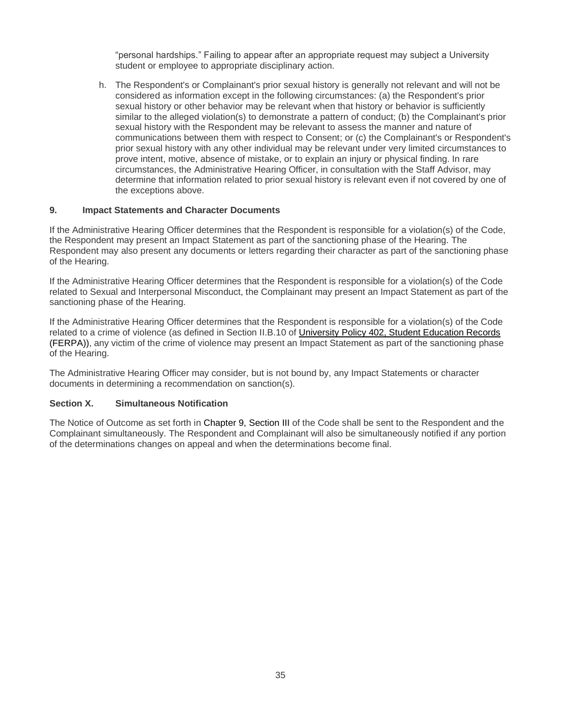"personal hardships." Failing to appear after an appropriate request may subject a University student or employee to appropriate disciplinary action.

h. The Respondent's or Complainant's prior sexual history is generally not relevant and will not be considered as information except in the following circumstances: (a) the Respondent's prior sexual history or other behavior may be relevant when that history or behavior is sufficiently similar to the alleged violation(s) to demonstrate a pattern of conduct; (b) the Complainant's prior sexual history with the Respondent may be relevant to assess the manner and nature of communications between them with respect to Consent; or (c) the Complainant's or Respondent's prior sexual history with any other individual may be relevant under very limited circumstances to prove intent, motive, absence of mistake, or to explain an injury or physical finding. In rare circumstances, the Administrative Hearing Officer, in consultation with the Staff Advisor, may determine that information related to prior sexual history is relevant even if not covered by one of the exceptions above.

#### **9. Impact Statements and Character Documents**

If the Administrative Hearing Officer determines that the Respondent is responsible for a violation(s) of the Code, the Respondent may present an Impact Statement as part of the sanctioning phase of the Hearing. The Respondent may also present any documents or letters regarding their character as part of the sanctioning phase of the Hearing.

If the Administrative Hearing Officer determines that the Respondent is responsible for a violation(s) of the Code related to Sexual and Interpersonal Misconduct, the Complainant may present an Impact Statement as part of the sanctioning phase of the Hearing.

If the Administrative Hearing Officer determines that the Respondent is responsible for a violation(s) of the Code related to a crime of violence (as defined in Section II.B.10 of University [Policy 402, Student Education Records](https://legal.uncc.edu/policies/up-402) [\(FERPA\)\),](https://legal.uncc.edu/policies/up-402) any victim of the crime of violence may present an Impact Statement as part of the sanctioning phase of the Hearing.

The Administrative Hearing Officer may consider, but is not bound by, any Impact Statements or character documents in determining a recommendation on sanction(s).

#### **Section X. Simultaneous Notification**

The Notice of Outcome as set forth in [Chapter 9, Section III](#page-35-1) of the Code shall be sent to the Respondent and the Complainant simultaneously. The Respondent and Complainant will also be simultaneously notified if any portion of the determinations changes on appeal and when the determinations become final.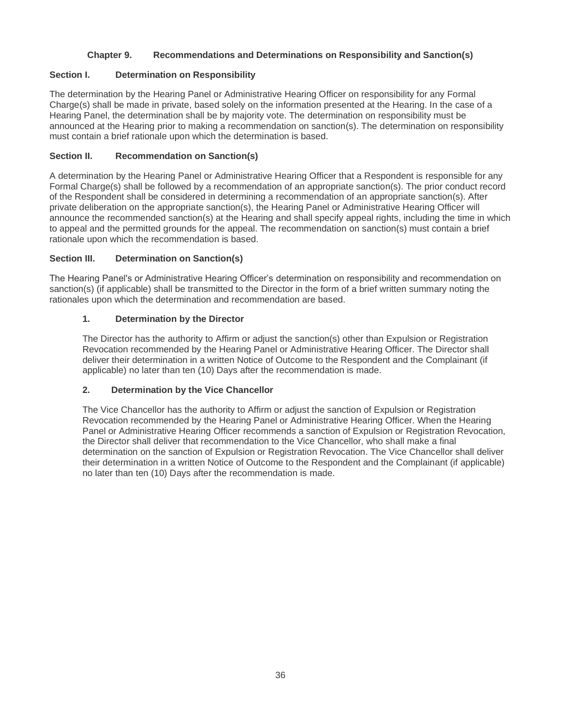# **Chapter 9. Recommendations and Determinations on Responsibility and Sanction(s)**

## **Section I. Determination on Responsibility**

The determination by the Hearing Panel or Administrative Hearing Officer on responsibility for any Formal Charge(s) shall be made in private, based solely on the information presented at the Hearing. In the case of a Hearing Panel, the determination shall be by majority vote. The determination on responsibility must be announced at the Hearing prior to making a recommendation on sanction(s). The determination on responsibility must contain a brief rationale upon which the determination is based.

## **Section II. Recommendation on Sanction(s)**

A determination by the Hearing Panel or Administrative Hearing Officer that a Respondent is responsible for any Formal Charge(s) shall be followed by a recommendation of an appropriate sanction(s). The prior conduct record of the Respondent shall be considered in determining a recommendation of an appropriate sanction(s). After private deliberation on the appropriate sanction(s), the Hearing Panel or Administrative Hearing Officer will announce the recommended sanction(s) at the Hearing and shall specify appeal rights, including the time in which to appeal and the permitted grounds for the appeal. The recommendation on sanction(s) must contain a brief rationale upon which the recommendation is based.

## <span id="page-35-1"></span>**Section III. Determination on Sanction(s)**

The Hearing Panel's or Administrative Hearing Officer's determination on responsibility and recommendation on sanction(s) (if applicable) shall be transmitted to the Director in the form of a brief written summary noting the rationales upon which the determination and recommendation are based.

## **1. Determination by the Director**

The Director has the authority to Affirm or adjust the sanction(s) other than Expulsion or Registration Revocation recommended by the Hearing Panel or Administrative Hearing Officer. The Director shall deliver their determination in a written Notice of Outcome to the Respondent and the Complainant (if applicable) no later than ten (10) Days after the recommendation is made.

## **2. Determination by the Vice Chancellor**

<span id="page-35-0"></span>The Vice Chancellor has the authority to Affirm or adjust the sanction of Expulsion or Registration Revocation recommended by the Hearing Panel or Administrative Hearing Officer. When the Hearing Panel or Administrative Hearing Officer recommends a sanction of Expulsion or Registration Revocation, the Director shall deliver that recommendation to the Vice Chancellor, who shall make a final determination on the sanction of Expulsion or Registration Revocation. The Vice Chancellor shall deliver their determination in a written Notice of Outcome to the Respondent and the Complainant (if applicable) no later than ten (10) Days after the recommendation is made.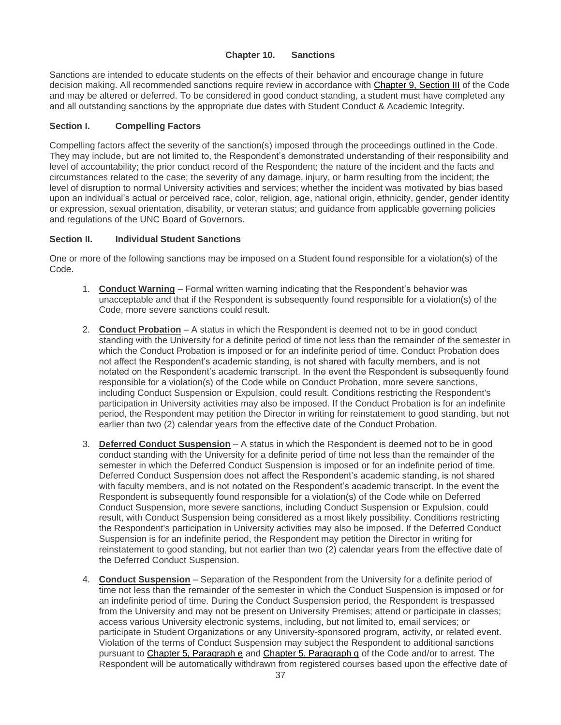#### **Chapter 10. Sanctions**

<span id="page-36-0"></span>Sanctions are intended to educate students on the effects of their behavior and encourage change in future decision making. All recommended sanctions require review in accordance with [Chapter 9, Section III](#page-35-1) of the Code and may be altered or deferred. To be considered in good conduct standing, a student must have completed any and all outstanding sanctions by the appropriate due dates with Student Conduct & Academic Integrity.

#### **Section I. Compelling Factors**

Compelling factors affect the severity of the sanction(s) imposed through the proceedings outlined in the Code. They may include, but are not limited to, the Respondent's demonstrated understanding of their responsibility and level of accountability; the prior conduct record of the Respondent; the nature of the incident and the facts and circumstances related to the case; the severity of any damage, injury, or harm resulting from the incident; the level of disruption to normal University activities and services; whether the incident was motivated by bias based upon an individual's actual or perceived race, color, religion, age, national origin, ethnicity, gender, gender identity or expression, sexual orientation, disability, or veteran status; and guidance from applicable governing policies and regulations of the UNC Board of Governors.

#### <span id="page-36-1"></span>**Section II. Individual Student Sanctions**

One or more of the following sanctions may be imposed on a Student found responsible for a violation(s) of the Code.

- 1. **Conduct Warning** Formal written warning indicating that the Respondent's behavior was unacceptable and that if the Respondent is subsequently found responsible for a violation(s) of the Code, more severe sanctions could result.
- 2. **Conduct Probation** A status in which the Respondent is deemed not to be in good conduct standing with the University for a definite period of time not less than the remainder of the semester in which the Conduct Probation is imposed or for an indefinite period of time. Conduct Probation does not affect the Respondent's academic standing, is not shared with faculty members, and is not notated on the Respondent's academic transcript. In the event the Respondent is subsequently found responsible for a violation(s) of the Code while on Conduct Probation, more severe sanctions, including Conduct Suspension or Expulsion, could result. Conditions restricting the Respondent's participation in University activities may also be imposed. If the Conduct Probation is for an indefinite period, the Respondent may petition the Director in writing for reinstatement to good standing, but not earlier than two (2) calendar years from the effective date of the Conduct Probation.
- 3. **Deferred Conduct Suspension** A status in which the Respondent is deemed not to be in good conduct standing with the University for a definite period of time not less than the remainder of the semester in which the Deferred Conduct Suspension is imposed or for an indefinite period of time. Deferred Conduct Suspension does not affect the Respondent's academic standing, is not shared with faculty members, and is not notated on the Respondent's academic transcript. In the event the Respondent is subsequently found responsible for a violation(s) of the Code while on Deferred Conduct Suspension, more severe sanctions, including Conduct Suspension or Expulsion, could result, with Conduct Suspension being considered as a most likely possibility. Conditions restricting the Respondent's participation in University activities may also be imposed. If the Deferred Conduct Suspension is for an indefinite period, the Respondent may petition the Director in writing for reinstatement to good standing, but not earlier than two (2) calendar years from the effective date of the Deferred Conduct Suspension.
- 4. **Conduct Suspension** Separation of the Respondent from the University for a definite period of time not less than the remainder of the semester in which the Conduct Suspension is imposed or for an indefinite period of time. During the Conduct Suspension period, the Respondent is trespassed from the University and may not be present on University Premises; attend or participate in classes; access various University electronic systems, including, but not limited to, email services; or participate in Student Organizations or any University-sponsored program, activity, or related event. Violation of the terms of Conduct Suspension may subject the Respondent to additional sanctions pursuant to [Chapter 5, Paragraph e](#page-13-0) and [Chapter 5, Paragraph q](#page-15-5) of the Code and/or to arrest. The Respondent will be automatically withdrawn from registered courses based upon the effective date of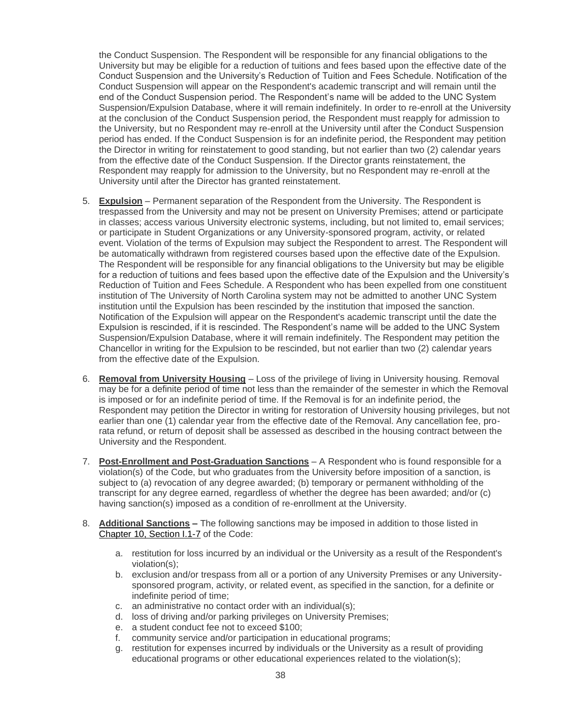the Conduct Suspension. The Respondent will be responsible for any financial obligations to the University but may be eligible for a reduction of tuitions and fees based upon the effective date of the Conduct Suspension and the University's Reduction of Tuition and Fees Schedule. Notification of the Conduct Suspension will appear on the Respondent's academic transcript and will remain until the end of the Conduct Suspension period. The Respondent's name will be added to the UNC System Suspension/Expulsion Database, where it will remain indefinitely. In order to re-enroll at the University at the conclusion of the Conduct Suspension period, the Respondent must reapply for admission to the University, but no Respondent may re-enroll at the University until after the Conduct Suspension period has ended. If the Conduct Suspension is for an indefinite period, the Respondent may petition the Director in writing for reinstatement to good standing, but not earlier than two (2) calendar years from the effective date of the Conduct Suspension. If the Director grants reinstatement, the Respondent may reapply for admission to the University, but no Respondent may re-enroll at the University until after the Director has granted reinstatement.

- 5. **Expulsion** Permanent separation of the Respondent from the University. The Respondent is trespassed from the University and may not be present on University Premises; attend or participate in classes; access various University electronic systems, including, but not limited to, email services; or participate in Student Organizations or any University-sponsored program, activity, or related event. Violation of the terms of Expulsion may subject the Respondent to arrest. The Respondent will be automatically withdrawn from registered courses based upon the effective date of the Expulsion. The Respondent will be responsible for any financial obligations to the University but may be eligible for a reduction of tuitions and fees based upon the effective date of the Expulsion and the University's Reduction of Tuition and Fees Schedule. A Respondent who has been expelled from one constituent institution of The University of North Carolina system may not be admitted to another UNC System institution until the Expulsion has been rescinded by the institution that imposed the sanction. Notification of the Expulsion will appear on the Respondent's academic transcript until the date the Expulsion is rescinded, if it is rescinded. The Respondent's name will be added to the UNC System Suspension/Expulsion Database, where it will remain indefinitely. The Respondent may petition the Chancellor in writing for the Expulsion to be rescinded, but not earlier than two (2) calendar years from the effective date of the Expulsion.
- 6. **Removal from University Housing** Loss of the privilege of living in University housing. Removal may be for a definite period of time not less than the remainder of the semester in which the Removal is imposed or for an indefinite period of time. If the Removal is for an indefinite period, the Respondent may petition the Director in writing for restoration of University housing privileges, but not earlier than one (1) calendar year from the effective date of the Removal. Any cancellation fee, prorata refund, or return of deposit shall be assessed as described in the housing contract between the University and the Respondent.
- 7. **Post-Enrollment and Post-Graduation Sanctions** A Respondent who is found responsible for a violation(s) of the Code, but who graduates from the University before imposition of a sanction, is subject to (a) revocation of any degree awarded; (b) temporary or permanent withholding of the transcript for any degree earned, regardless of whether the degree has been awarded; and/or (c) having sanction(s) imposed as a condition of re-enrollment at the University.
- 8. **Additional Sanctions –** The following sanctions may be imposed in addition to those listed in [Chapter 10, Section I.1-7](#page-36-1) of the Code:
	- a. restitution for loss incurred by an individual or the University as a result of the Respondent's violation(s);
	- b. exclusion and/or trespass from all or a portion of any University Premises or any Universitysponsored program, activity, or related event, as specified in the sanction, for a definite or indefinite period of time;
	- c. an administrative no contact order with an individual(s);
	- d. loss of driving and/or parking privileges on University Premises;
	- e. a student conduct fee not to exceed \$100;
	- f. community service and/or participation in educational programs;
	- g. restitution for expenses incurred by individuals or the University as a result of providing educational programs or other educational experiences related to the violation(s);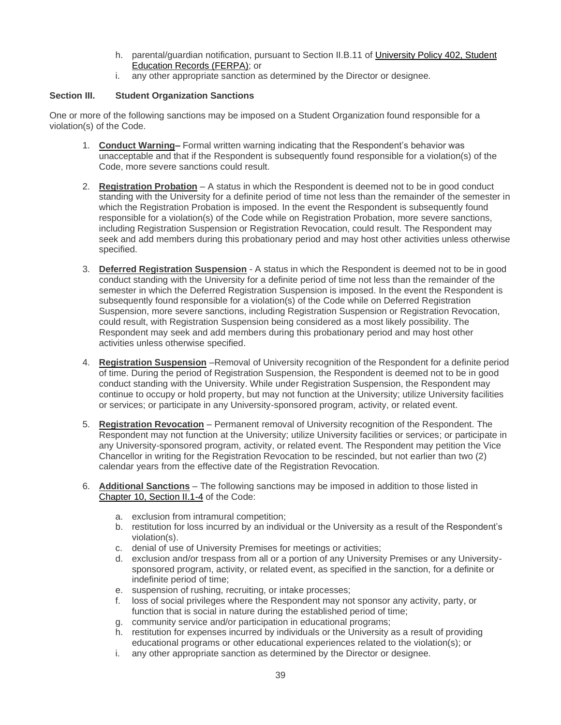- h. parental/guardian notification, pursuant to Section II.B.11 of [University Policy 402, Student](https://legal.uncc.edu/policies/up-402)  [Education Records \(FERPA\);](https://legal.uncc.edu/policies/up-402) or
- i. any other appropriate sanction as determined by the Director or designee.

# <span id="page-38-0"></span>**Section III. Student Organization Sanctions**

One or more of the following sanctions may be imposed on a Student Organization found responsible for a violation(s) of the Code.

- 1. **Conduct Warning–** Formal written warning indicating that the Respondent's behavior was unacceptable and that if the Respondent is subsequently found responsible for a violation(s) of the Code, more severe sanctions could result.
- 2. **Registration Probation** A status in which the Respondent is deemed not to be in good conduct standing with the University for a definite period of time not less than the remainder of the semester in which the Registration Probation is imposed. In the event the Respondent is subsequently found responsible for a violation(s) of the Code while on Registration Probation, more severe sanctions, including Registration Suspension or Registration Revocation, could result. The Respondent may seek and add members during this probationary period and may host other activities unless otherwise specified.
- 3. **Deferred Registration Suspension** A status in which the Respondent is deemed not to be in good conduct standing with the University for a definite period of time not less than the remainder of the semester in which the Deferred Registration Suspension is imposed. In the event the Respondent is subsequently found responsible for a violation(s) of the Code while on Deferred Registration Suspension, more severe sanctions, including Registration Suspension or Registration Revocation, could result, with Registration Suspension being considered as a most likely possibility. The Respondent may seek and add members during this probationary period and may host other activities unless otherwise specified.
- 4. **Registration Suspension** –Removal of University recognition of the Respondent for a definite period of time. During the period of Registration Suspension, the Respondent is deemed not to be in good conduct standing with the University. While under Registration Suspension, the Respondent may continue to occupy or hold property, but may not function at the University; utilize University facilities or services; or participate in any University-sponsored program, activity, or related event.
- 5. **Registration Revocation** Permanent removal of University recognition of the Respondent. The Respondent may not function at the University; utilize University facilities or services; or participate in any University-sponsored program, activity, or related event. The Respondent may petition the Vice Chancellor in writing for the Registration Revocation to be rescinded, but not earlier than two (2) calendar years from the effective date of the Registration Revocation.
- 6. **Additional Sanctions** The following sanctions may be imposed in addition to those listed in [Chapter 10, Section II.1-4](#page-38-0) of the Code:
	- a. exclusion from intramural competition;
	- b. restitution for loss incurred by an individual or the University as a result of the Respondent's violation(s).
	- c. denial of use of University Premises for meetings or activities;
	- d. exclusion and/or trespass from all or a portion of any University Premises or any Universitysponsored program, activity, or related event, as specified in the sanction, for a definite or indefinite period of time;
	- e. suspension of rushing, recruiting, or intake processes;
	- f. loss of social privileges where the Respondent may not sponsor any activity, party, or function that is social in nature during the established period of time;
	- g. community service and/or participation in educational programs;
	- h. restitution for expenses incurred by individuals or the University as a result of providing educational programs or other educational experiences related to the violation(s); or
	- i. any other appropriate sanction as determined by the Director or designee.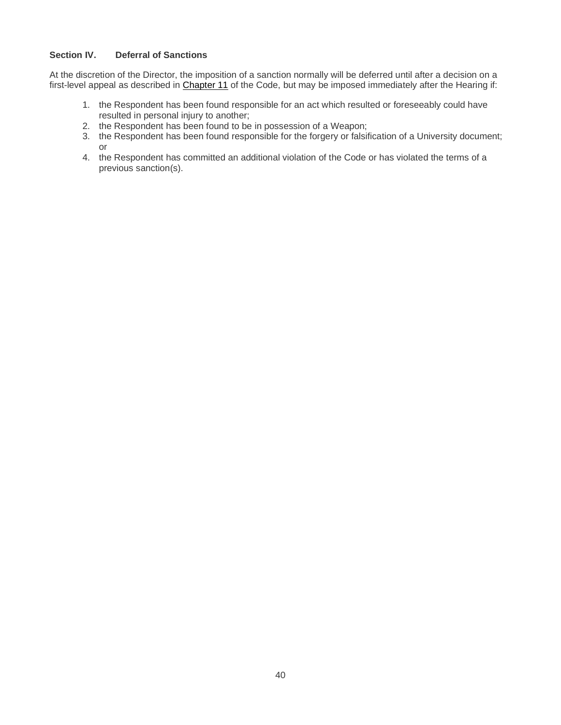## **Section IV. Deferral of Sanctions**

At the discretion of the Director, the imposition of a sanction normally will be deferred until after a decision on a first-level appeal as described in [Chapter 11](#page-39-0) of the Code, but may be imposed immediately after the Hearing if:

- 1. the Respondent has been found responsible for an act which resulted or foreseeably could have resulted in personal injury to another;
- 2. the Respondent has been found to be in possession of a Weapon;
- 3. the Respondent has been found responsible for the forgery or falsification of a University document; or
- <span id="page-39-0"></span>4. the Respondent has committed an additional violation of the Code or has violated the terms of a previous sanction(s).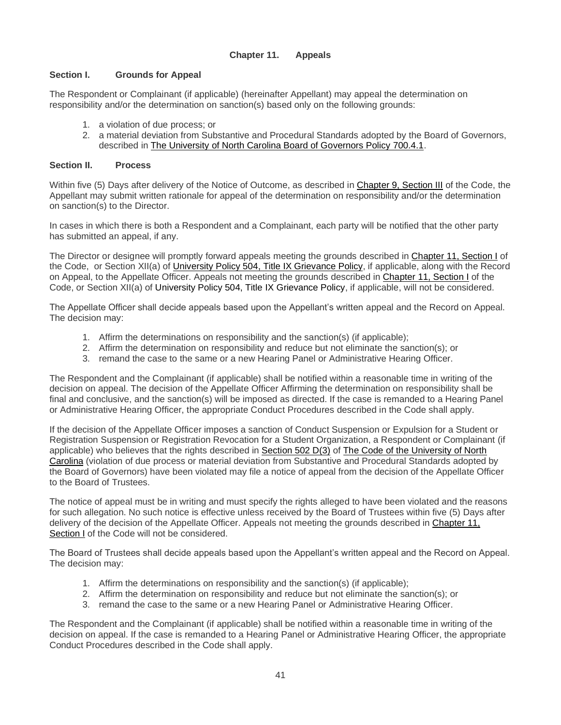## **Chapter 11. Appeals**

## <span id="page-40-0"></span>**Section I. Grounds for Appeal**

The Respondent or Complainant (if applicable) (hereinafter Appellant) may appeal the determination on responsibility and/or the determination on sanction(s) based only on the following grounds:

- 1. a violation of due process; or
- 2. a material deviation from Substantive and Procedural Standards adopted by the Board of Governors, described in [The University of North Carolina Board of Governors Policy 700.4.1.](http://www.northcarolina.edu/apps/policy/index.php?pg=vs&id=457&added=1)

#### **Section II. Process**

Within five (5) Days after delivery of the Notice of Outcome, as described in [Chapter 9, Section III](#page-35-1) of the Code, the Appellant may submit written rationale for appeal of the determination on responsibility and/or the determination on sanction(s) to the Director.

In cases in which there is both a Respondent and a Complainant, each party will be notified that the other party has submitted an appeal, if any.

The Director or designee will promptly forward appeals meeting the grounds described in [Chapter 11, Section I](#page-40-0) of the Code, or Section XII(a) of *University Policy 504*, Title IX Grievance Policy, if applicable, along with the Record on Appeal, to the Appellate Officer. Appeals not meeting the grounds described in [Chapter 11, Section I](#page-40-0) of the Code, or Section XII(a) of [University Policy 504, Title IX Grievance Policy,](http://legal.uncc.edu/policies/up-504) if applicable, will not be considered.

The Appellate Officer shall decide appeals based upon the Appellant's written appeal and the Record on Appeal. The decision may:

- 1. Affirm the determinations on responsibility and the sanction(s) (if applicable);
- 2. Affirm the determination on responsibility and reduce but not eliminate the sanction(s); or
- 3. remand the case to the same or a new Hearing Panel or Administrative Hearing Officer.

The Respondent and the Complainant (if applicable) shall be notified within a reasonable time in writing of the decision on appeal. The decision of the Appellate Officer Affirming the determination on responsibility shall be final and conclusive, and the sanction(s) will be imposed as directed. If the case is remanded to a Hearing Panel or Administrative Hearing Officer, the appropriate Conduct Procedures described in the Code shall apply.

If the decision of the Appellate Officer imposes a sanction of Conduct Suspension or Expulsion for a Student or Registration Suspension or Registration Revocation for a Student Organization, a Respondent or Complainant (if applicable) who believes that the rights described in [Section 502 D\(3\)](http://www.northcarolina.edu/apps/policy/index.php?pg=vs&id=4428&added=1) of [The Code of the University of North](http://www.northcarolina.edu/apps/policy/index.php)  [Carolina](http://www.northcarolina.edu/apps/policy/index.php) (violation of due process or material deviation from Substantive and Procedural Standards adopted by the Board of Governors) have been violated may file a notice of appeal from the decision of the Appellate Officer to the Board of Trustees.

The notice of appeal must be in writing and must specify the rights alleged to have been violated and the reasons for such allegation. No such notice is effective unless received by the Board of Trustees within five (5) Days after delivery of the decision of the Appellate Officer. Appeals not meeting the grounds described in [Chapter 11,](#page-40-0)  [Section I](#page-40-0) of the Code will not be considered.

The Board of Trustees shall decide appeals based upon the Appellant's written appeal and the Record on Appeal. The decision may:

- 1. Affirm the determinations on responsibility and the sanction(s) (if applicable);
- 2. Affirm the determination on responsibility and reduce but not eliminate the sanction(s); or
- 3. remand the case to the same or a new Hearing Panel or Administrative Hearing Officer.

The Respondent and the Complainant (if applicable) shall be notified within a reasonable time in writing of the decision on appeal. If the case is remanded to a Hearing Panel or Administrative Hearing Officer, the appropriate Conduct Procedures described in the Code shall apply.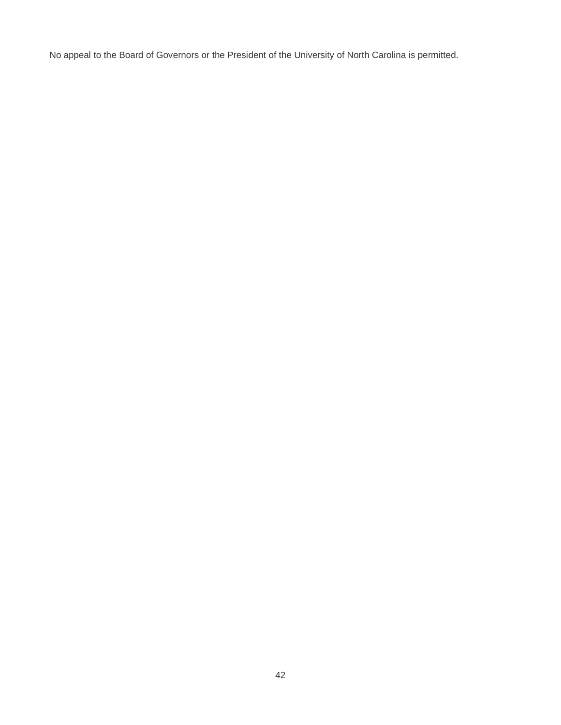No appeal to the Board of Governors or the President of the University of North Carolina is permitted.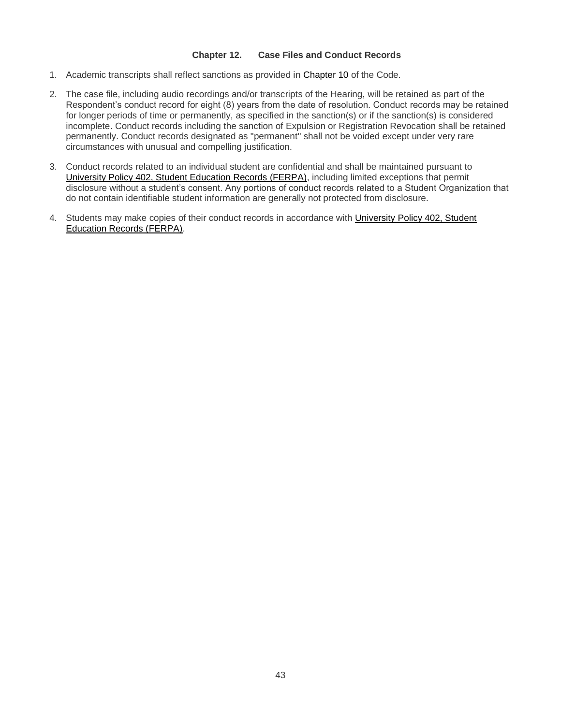#### **Chapter 12. Case Files and Conduct Records**

- <span id="page-42-0"></span>1. Academic transcripts shall reflect sanctions as provided in [Chapter 10](#page-35-0) of the Code.
- 2. The case file, including audio recordings and/or transcripts of the Hearing, will be retained as part of the Respondent's conduct record for eight (8) years from the date of resolution. Conduct records may be retained for longer periods of time or permanently, as specified in the sanction(s) or if the sanction(s) is considered incomplete. Conduct records including the sanction of Expulsion or Registration Revocation shall be retained permanently. Conduct records designated as "permanent" shall not be voided except under very rare circumstances with unusual and compelling justification.
- 3. Conduct records related to an individual student are confidential and shall be maintained pursuant to [University Policy 402, Student Education Records \(FERPA\),](https://legal.uncc.edu/policies/up-402) including limited exceptions that permit disclosure without a student's consent. Any portions of conduct records related to a Student Organization that do not contain identifiable student information are generally not protected from disclosure.
- 4. Students may make copies of their conduct records in accordance with [University Policy 402, Student](https://legal.uncc.edu/policies/up-402)  [Education Records \(FERPA\).](https://legal.uncc.edu/policies/up-402)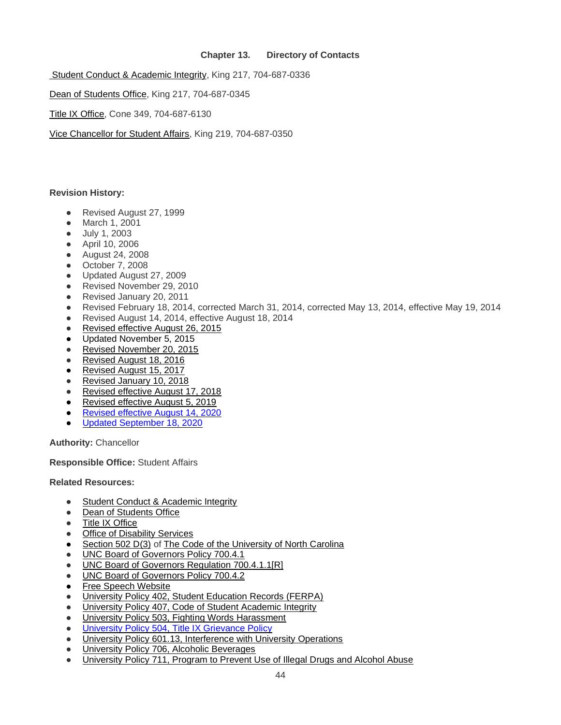## **Chapter 13. Directory of Contacts**

<span id="page-43-0"></span>[Student Conduct & Academic Integrity,](https://scai.uncc.edu/) King 217, 704-687-0336

[Dean of Students Office,](https://dso.uncc.edu/) King 217, 704-687-0345

[Title IX Office,](https://titleix.uncc.edu/) Cone 349, 704-687-6130

[Vice Chancellor for Student Affairs,](https://studentaffairs.uncc.edu/) King 219, 704-687-0350

#### **Revision History:**

- Revised August 27, 1999
- March 1, 2001
- July 1, 2003
- April 10, 2006
- August 24, 2008
- October 7, 2008
- Updated August 27, 2009
- Revised November 29, 2010
- Revised January 20, 2011
- Revised February 18, 2014, corrected March 31, 2014, corrected May 13, 2014, effective May 19, 2014
- Revised August 14, 2014, effective August 18, 2014
- [Revised effective August 26, 2015](https://legal.uncc.edu/revisions/2015-08-26/revision-code-student-responsibility)
- Updated November 5, 2015
- [Revised November 20, 2015](https://legal.uncc.edu/revisions/2015-11-20/revision-university-policy-406-code-student-responsibility)
- [Revised August 18, 2016](https://legal.uncc.edu/revisions/2016-08-18/revision-code-student-responsibiilty)
- [Revised August 15, 2017](https://legal.uncc.edu/revisions/2017-08-15/revision-university-policy-406-code-student-responsibility)
- [Revised January 10, 2018](https://legal.uncc.edu/revisions/2018-01-10/revision-university-policy-406-code-student-responsibility)
- [Revised effective August 17, 2018](https://legal.uncc.edu/revisions/2018-08-17/revision-code-student-responsibility-406)
- [Revised effective August 5, 2019](https://legal.uncc.edu/revisions/2019-08-05/revision-code-student-responsibility)
- [Revised effective August 14, 2020](https://legal.uncc.edu/revisions/2020-08-14/revision-code-student-responsibility)
- [Updated September 18, 2020](https://legal.uncc.edu/revisions/2020-09-18/update-code-student-responsibility)

**Authority:** Chancellor

**Responsible Office:** Student Affairs

**Related Resources:**

- [Student Conduct & Academic Integrity](https://scai.uncc.edu/)
- [Dean of Students Office](https://dso.uncc.edu/)
- [Title IX Office](https://titleix.uncc.edu/)
- [Office of Disability Services](https://ds.uncc.edu/)
- [Section 502 D\(3\)](http://www.northcarolina.edu/apps/policy/index.php?pg=vs&id=4428&added=1) of [The Code of the University of North Carolina](http://www.northcarolina.edu/apps/policy/index.php)
- [UNC Board of Governors Policy 700.4.1](http://www.northcarolina.edu/apps/policy/index.php?pg=vs&id=457&added=1)
- [UNC Board of Governors Regulation 700.4.1.1\[R\]](http://www.northcarolina.edu/apps/policy/index.php?pg=vs&id=16246&added=1)
- [UNC Board of Governors Policy 700.4.2](http://www.northcarolina.edu/apps/policy/index.php?pg=vs&id=7166&added=1)
- [Free Speech Website](http://freespeech.uncc.edu/)
- [University Policy 402, Student Education Records \(FERPA\)](https://legal.uncc.edu/policies/up-402)
- [University Policy 407, Code of Student Academic Integrity](https://legal.uncc.edu/policies/up-407)
- [University Policy 503, Fighting Words Harassment](https://legal.uncc.edu/policies/up-503)
- [University Policy 504, Title IX Grievance Policy](http://legal.uncc.edu/policies/up-504)
- [University Policy 601.13, Interference with University Operations](https://legal.uncc.edu/policies/up-601.13)
- [University Policy 706, Alcoholic Beverages](https://legal.uncc.edu/policies/up-706)
- [University Policy 711, Program to Prevent Use of Illegal Drugs and Alcohol Abuse](https://legal.uncc.edu/policies/up-711)